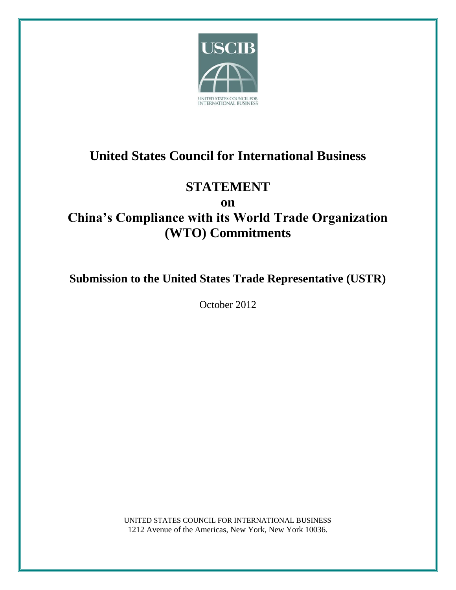

# **United States Council for International Business**

# **STATEMENT**

**on**

# **China's Compliance with its World Trade Organization (WTO) Commitments**

**Submission to the United States Trade Representative (USTR)**

October 2012

UNITED STATES COUNCIL FOR INTERNATIONAL BUSINESS 1212 Avenue of the Americas, New York, New York 10036.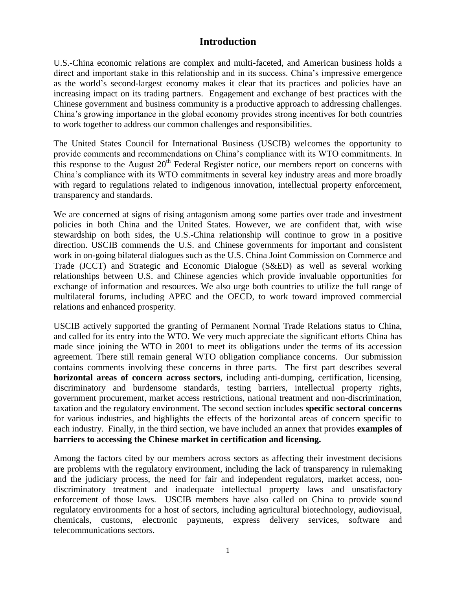### **Introduction**

U.S.-China economic relations are complex and multi-faceted, and American business holds a direct and important stake in this relationship and in its success. China's impressive emergence as the world's second-largest economy makes it clear that its practices and policies have an increasing impact on its trading partners. Engagement and exchange of best practices with the Chinese government and business community is a productive approach to addressing challenges. China's growing importance in the global economy provides strong incentives for both countries to work together to address our common challenges and responsibilities.

The United States Council for International Business (USCIB) welcomes the opportunity to provide comments and recommendations on China's compliance with its WTO commitments. In this response to the August  $20<sup>th</sup>$  Federal Register notice, our members report on concerns with China's compliance with its WTO commitments in several key industry areas and more broadly with regard to regulations related to indigenous innovation, intellectual property enforcement, transparency and standards.

We are concerned at signs of rising antagonism among some parties over trade and investment policies in both China and the United States. However, we are confident that, with wise stewardship on both sides, the U.S.-China relationship will continue to grow in a positive direction. USCIB commends the U.S. and Chinese governments for important and consistent work in on-going bilateral dialogues such as the U.S. China Joint Commission on Commerce and Trade (JCCT) and Strategic and Economic Dialogue (S&ED) as well as several working relationships between U.S. and Chinese agencies which provide invaluable opportunities for exchange of information and resources. We also urge both countries to utilize the full range of multilateral forums, including APEC and the OECD, to work toward improved commercial relations and enhanced prosperity.

USCIB actively supported the granting of Permanent Normal Trade Relations status to China, and called for its entry into the WTO. We very much appreciate the significant efforts China has made since joining the WTO in 2001 to meet its obligations under the terms of its accession agreement. There still remain general WTO obligation compliance concerns. Our submission contains comments involving these concerns in three parts. The first part describes several **horizontal areas of concern across sectors**, including anti-dumping, certification, licensing, discriminatory and burdensome standards, testing barriers, intellectual property rights, government procurement, market access restrictions, national treatment and non-discrimination, taxation and the regulatory environment. The second section includes **specific sectoral concerns** for various industries, and highlights the effects of the horizontal areas of concern specific to each industry. Finally, in the third section, we have included an annex that provides **examples of barriers to accessing the Chinese market in certification and licensing.**

Among the factors cited by our members across sectors as affecting their investment decisions are problems with the regulatory environment, including the lack of transparency in rulemaking and the judiciary process, the need for fair and independent regulators, market access, nondiscriminatory treatment and inadequate intellectual property laws and unsatisfactory enforcement of those laws. USCIB members have also called on China to provide sound regulatory environments for a host of sectors, including agricultural biotechnology, audiovisual, chemicals, customs, electronic payments, express delivery services, software and telecommunications sectors.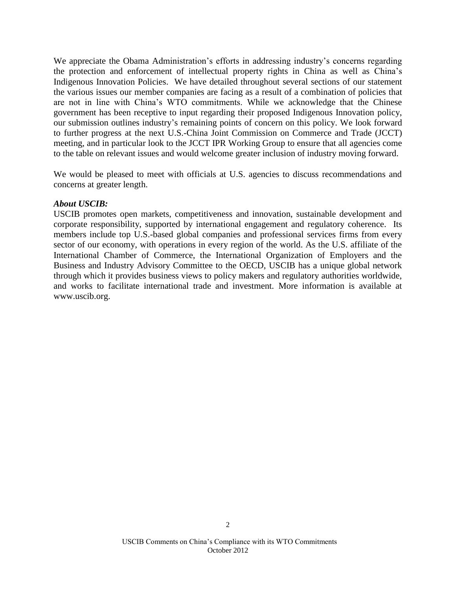We appreciate the Obama Administration's efforts in addressing industry's concerns regarding the protection and enforcement of intellectual property rights in China as well as China's Indigenous Innovation Policies. We have detailed throughout several sections of our statement the various issues our member companies are facing as a result of a combination of policies that are not in line with China's WTO commitments. While we acknowledge that the Chinese government has been receptive to input regarding their proposed Indigenous Innovation policy, our submission outlines industry's remaining points of concern on this policy. We look forward to further progress at the next U.S.-China Joint Commission on Commerce and Trade (JCCT) meeting, and in particular look to the JCCT IPR Working Group to ensure that all agencies come to the table on relevant issues and would welcome greater inclusion of industry moving forward.

We would be pleased to meet with officials at U.S. agencies to discuss recommendations and concerns at greater length.

#### *About USCIB:*

USCIB promotes open markets, competitiveness and innovation, sustainable development and corporate responsibility, supported by international engagement and regulatory coherence. Its members include top U.S.-based global companies and professional services firms from every sector of our economy, with operations in every region of the world. As the U.S. affiliate of the International Chamber of Commerce, the International Organization of Employers and the Business and Industry Advisory Committee to the OECD, USCIB has a unique global network through which it provides business views to policy makers and regulatory authorities worldwide, and works to facilitate international trade and investment. More information is available at www.uscib.org.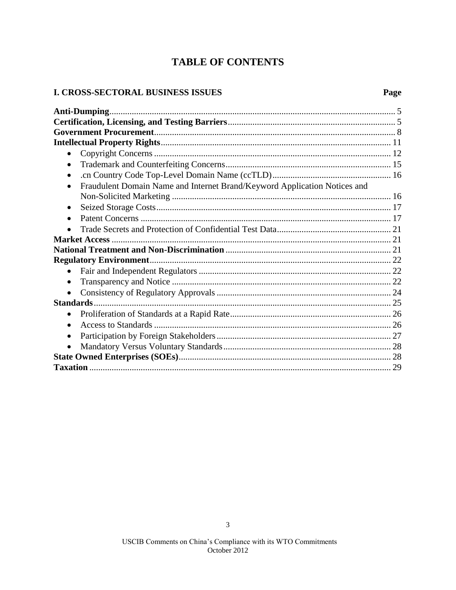# **TABLE OF CONTENTS**

### I. CROSS-SECTORAL BUSINESS ISSUES

| $\bullet$                                                                              |  |
|----------------------------------------------------------------------------------------|--|
| $\bullet$                                                                              |  |
| $\bullet$                                                                              |  |
| Fraudulent Domain Name and Internet Brand/Keyword Application Notices and<br>$\bullet$ |  |
|                                                                                        |  |
| $\bullet$                                                                              |  |
| $\bullet$                                                                              |  |
|                                                                                        |  |
|                                                                                        |  |
|                                                                                        |  |
|                                                                                        |  |
| $\bullet$                                                                              |  |
| $\bullet$                                                                              |  |
| $\bullet$                                                                              |  |
|                                                                                        |  |
| $\bullet$                                                                              |  |
| $\bullet$                                                                              |  |
| $\bullet$                                                                              |  |
| $\bullet$                                                                              |  |
|                                                                                        |  |
|                                                                                        |  |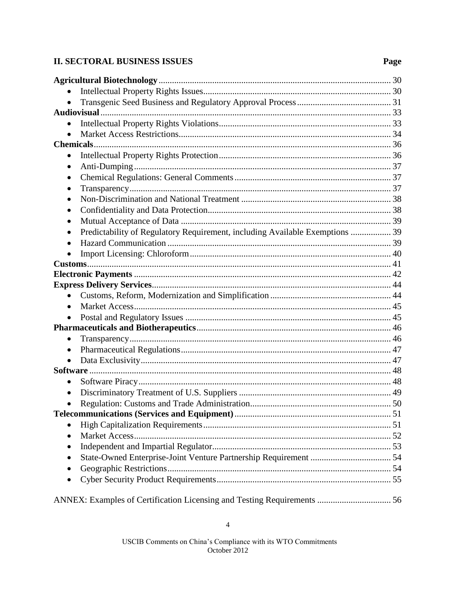### **II. SECTORAL BUSINESS ISSUES**

### Page

| $\bullet$                                                                    |  |
|------------------------------------------------------------------------------|--|
|                                                                              |  |
|                                                                              |  |
| $\bullet$                                                                    |  |
|                                                                              |  |
| $\bullet$                                                                    |  |
| $\bullet$                                                                    |  |
|                                                                              |  |
| $\bullet$                                                                    |  |
| Predictability of Regulatory Requirement, including Available Exemptions  39 |  |
|                                                                              |  |
|                                                                              |  |
|                                                                              |  |
|                                                                              |  |
|                                                                              |  |
|                                                                              |  |
| $\bullet$                                                                    |  |
|                                                                              |  |
|                                                                              |  |
| $\bullet$                                                                    |  |
| $\bullet$                                                                    |  |
|                                                                              |  |
|                                                                              |  |
|                                                                              |  |
|                                                                              |  |
|                                                                              |  |
|                                                                              |  |
|                                                                              |  |
|                                                                              |  |
|                                                                              |  |
|                                                                              |  |
|                                                                              |  |
|                                                                              |  |
|                                                                              |  |

ANNEX: Examples of Certification Licensing and Testing Requirements ................................ 56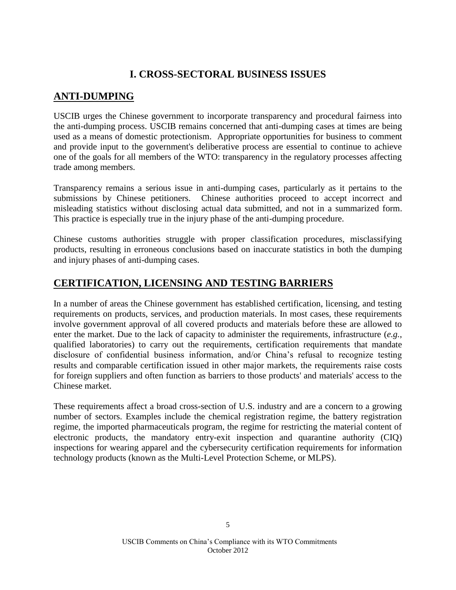# **I. CROSS-SECTORAL BUSINESS ISSUES**

# **ANTI-DUMPING**

USCIB urges the Chinese government to incorporate transparency and procedural fairness into the anti-dumping process. USCIB remains concerned that anti-dumping cases at times are being used as a means of domestic protectionism. Appropriate opportunities for business to comment and provide input to the government's deliberative process are essential to continue to achieve one of the goals for all members of the WTO: transparency in the regulatory processes affecting trade among members.

Transparency remains a serious issue in anti-dumping cases, particularly as it pertains to the submissions by Chinese petitioners. Chinese authorities proceed to accept incorrect and misleading statistics without disclosing actual data submitted, and not in a summarized form. This practice is especially true in the injury phase of the anti-dumping procedure.

Chinese customs authorities struggle with proper classification procedures, misclassifying products, resulting in erroneous conclusions based on inaccurate statistics in both the dumping and injury phases of anti-dumping cases.

# **CERTIFICATION, LICENSING AND TESTING BARRIERS**

In a number of areas the Chinese government has established certification, licensing, and testing requirements on products, services, and production materials. In most cases, these requirements involve government approval of all covered products and materials before these are allowed to enter the market. Due to the lack of capacity to administer the requirements, infrastructure (*e.g.*, qualified laboratories) to carry out the requirements, certification requirements that mandate disclosure of confidential business information, and/or China's refusal to recognize testing results and comparable certification issued in other major markets, the requirements raise costs for foreign suppliers and often function as barriers to those products' and materials' access to the Chinese market.

These requirements affect a broad cross-section of U.S. industry and are a concern to a growing number of sectors. Examples include the chemical registration regime, the battery registration regime, the imported pharmaceuticals program, the regime for restricting the material content of electronic products, the mandatory entry-exit inspection and quarantine authority (CIQ) inspections for wearing apparel and the cybersecurity certification requirements for information technology products (known as the Multi-Level Protection Scheme, or MLPS).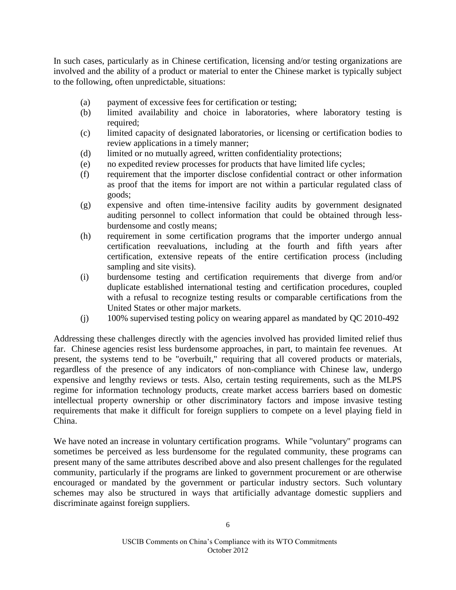In such cases, particularly as in Chinese certification, licensing and/or testing organizations are involved and the ability of a product or material to enter the Chinese market is typically subject to the following, often unpredictable, situations:

- (a) payment of excessive fees for certification or testing;
- (b) limited availability and choice in laboratories, where laboratory testing is required;
- (c) limited capacity of designated laboratories, or licensing or certification bodies to review applications in a timely manner;
- (d) limited or no mutually agreed, written confidentiality protections;
- (e) no expedited review processes for products that have limited life cycles;
- (f) requirement that the importer disclose confidential contract or other information as proof that the items for import are not within a particular regulated class of goods;
- (g) expensive and often time-intensive facility audits by government designated auditing personnel to collect information that could be obtained through lessburdensome and costly means;
- (h) requirement in some certification programs that the importer undergo annual certification reevaluations, including at the fourth and fifth years after certification, extensive repeats of the entire certification process (including sampling and site visits).
- (i) burdensome testing and certification requirements that diverge from and/or duplicate established international testing and certification procedures, coupled with a refusal to recognize testing results or comparable certifications from the United States or other major markets.
- (j) 100% supervised testing policy on wearing apparel as mandated by QC 2010-492

Addressing these challenges directly with the agencies involved has provided limited relief thus far. Chinese agencies resist less burdensome approaches, in part, to maintain fee revenues. At present, the systems tend to be "overbuilt," requiring that all covered products or materials, regardless of the presence of any indicators of non-compliance with Chinese law, undergo expensive and lengthy reviews or tests. Also, certain testing requirements, such as the MLPS regime for information technology products, create market access barriers based on domestic intellectual property ownership or other discriminatory factors and impose invasive testing requirements that make it difficult for foreign suppliers to compete on a level playing field in China.

We have noted an increase in voluntary certification programs. While "voluntary" programs can sometimes be perceived as less burdensome for the regulated community, these programs can present many of the same attributes described above and also present challenges for the regulated community, particularly if the programs are linked to government procurement or are otherwise encouraged or mandated by the government or particular industry sectors. Such voluntary schemes may also be structured in ways that artificially advantage domestic suppliers and discriminate against foreign suppliers.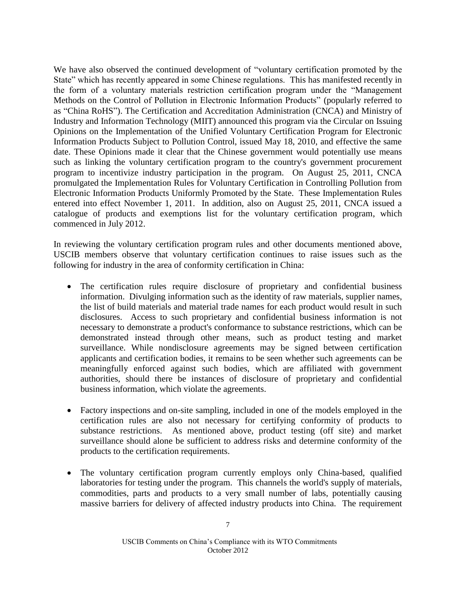We have also observed the continued development of "voluntary certification promoted by the State" which has recently appeared in some Chinese regulations. This has manifested recently in the form of a voluntary materials restriction certification program under the "Management Methods on the Control of Pollution in Electronic Information Products" (popularly referred to as "China RoHS"). The Certification and Accreditation Administration (CNCA) and Ministry of Industry and Information Technology (MIIT) announced this program via the Circular on Issuing Opinions on the Implementation of the Unified Voluntary Certification Program for Electronic Information Products Subject to Pollution Control, issued May 18, 2010, and effective the same date. These Opinions made it clear that the Chinese government would potentially use means such as linking the voluntary certification program to the country's government procurement program to incentivize industry participation in the program. On August 25, 2011, CNCA promulgated the Implementation Rules for Voluntary Certification in Controlling Pollution from Electronic Information Products Uniformly Promoted by the State. These Implementation Rules entered into effect November 1, 2011. In addition, also on August 25, 2011, CNCA issued a catalogue of products and exemptions list for the voluntary certification program, which commenced in July 2012.

In reviewing the voluntary certification program rules and other documents mentioned above, USCIB members observe that voluntary certification continues to raise issues such as the following for industry in the area of conformity certification in China:

- The certification rules require disclosure of proprietary and confidential business information. Divulging information such as the identity of raw materials, supplier names, the list of build materials and material trade names for each product would result in such disclosures. Access to such proprietary and confidential business information is not necessary to demonstrate a product's conformance to substance restrictions, which can be demonstrated instead through other means, such as product testing and market surveillance. While nondisclosure agreements may be signed between certification applicants and certification bodies, it remains to be seen whether such agreements can be meaningfully enforced against such bodies, which are affiliated with government authorities, should there be instances of disclosure of proprietary and confidential business information, which violate the agreements.
- Factory inspections and on-site sampling, included in one of the models employed in the certification rules are also not necessary for certifying conformity of products to substance restrictions. As mentioned above, product testing (off site) and market surveillance should alone be sufficient to address risks and determine conformity of the products to the certification requirements.
- The voluntary certification program currently employs only China-based, qualified laboratories for testing under the program. This channels the world's supply of materials, commodities, parts and products to a very small number of labs, potentially causing massive barriers for delivery of affected industry products into China. The requirement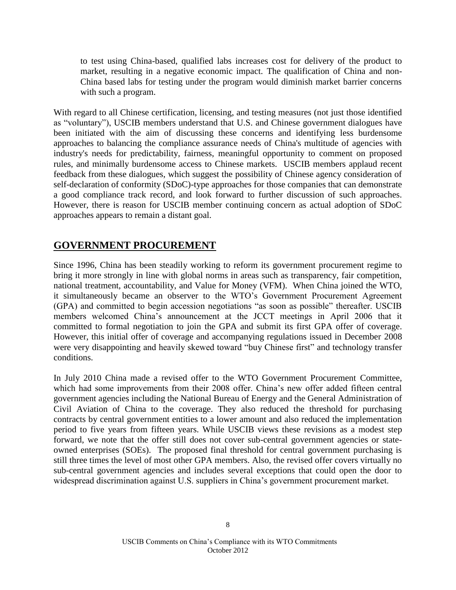to test using China-based, qualified labs increases cost for delivery of the product to market, resulting in a negative economic impact. The qualification of China and non-China based labs for testing under the program would diminish market barrier concerns with such a program.

With regard to all Chinese certification, licensing, and testing measures (not just those identified as "voluntary"), USCIB members understand that U.S. and Chinese government dialogues have been initiated with the aim of discussing these concerns and identifying less burdensome approaches to balancing the compliance assurance needs of China's multitude of agencies with industry's needs for predictability, fairness, meaningful opportunity to comment on proposed rules, and minimally burdensome access to Chinese markets. USCIB members applaud recent feedback from these dialogues, which suggest the possibility of Chinese agency consideration of self-declaration of conformity (SDoC)-type approaches for those companies that can demonstrate a good compliance track record, and look forward to further discussion of such approaches. However, there is reason for USCIB member continuing concern as actual adoption of SDoC approaches appears to remain a distant goal.

### **GOVERNMENT PROCUREMENT**

Since 1996, China has been steadily working to reform its government procurement regime to bring it more strongly in line with global norms in areas such as transparency, fair competition, national treatment, accountability, and Value for Money (VFM). When China joined the WTO, it simultaneously became an observer to the WTO's Government Procurement Agreement (GPA) and committed to begin accession negotiations "as soon as possible" thereafter. USCIB members welcomed China's announcement at the JCCT meetings in April 2006 that it committed to formal negotiation to join the GPA and submit its first GPA offer of coverage. However, this initial offer of coverage and accompanying regulations issued in December 2008 were very disappointing and heavily skewed toward "buy Chinese first" and technology transfer conditions.

In July 2010 China made a revised offer to the WTO Government Procurement Committee, which had some improvements from their 2008 offer. China's new offer added fifteen central government agencies including the National Bureau of Energy and the General Administration of Civil Aviation of China to the coverage. They also reduced the threshold for purchasing contracts by central government entities to a lower amount and also reduced the implementation period to five years from fifteen years. While USCIB views these revisions as a modest step forward, we note that the offer still does not cover sub-central government agencies or stateowned enterprises (SOEs). The proposed final threshold for central government purchasing is still three times the level of most other GPA members. Also, the revised offer covers virtually no sub-central government agencies and includes several exceptions that could open the door to widespread discrimination against U.S. suppliers in China's government procurement market.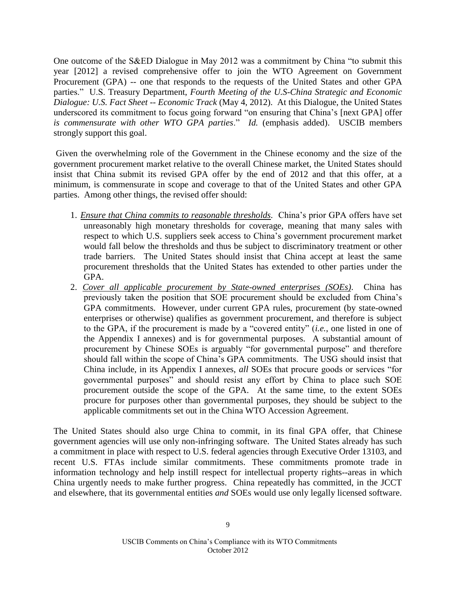One outcome of the S&ED Dialogue in May 2012 was a commitment by China "to submit this year [2012] a revised comprehensive offer to join the WTO Agreement on Government Procurement (GPA) -- one that responds to the requests of the United States and other GPA parties." U.S. Treasury Department, *Fourth Meeting of the U.S-China Strategic and Economic Dialogue: U.S. Fact Sheet -- Economic Track* (May 4, 2012). At this Dialogue, the United States underscored its commitment to focus going forward "on ensuring that China's [next GPA] offer *is commensurate with other WTO GPA parties*." *Id.* (emphasis added). USCIB members strongly support this goal.

Given the overwhelming role of the Government in the Chinese economy and the size of the government procurement market relative to the overall Chinese market, the United States should insist that China submit its revised GPA offer by the end of 2012 and that this offer, at a minimum, is commensurate in scope and coverage to that of the United States and other GPA parties. Among other things, the revised offer should:

- 1. *Ensure that China commits to reasonable thresholds.* China's prior GPA offers have set unreasonably high monetary thresholds for coverage, meaning that many sales with respect to which U.S. suppliers seek access to China's government procurement market would fall below the thresholds and thus be subject to discriminatory treatment or other trade barriers. The United States should insist that China accept at least the same procurement thresholds that the United States has extended to other parties under the GPA.
- 2. *Cover all applicable procurement by State-owned enterprises (SOEs)*. China has previously taken the position that SOE procurement should be excluded from China's GPA commitments. However, under current GPA rules, procurement (by state-owned enterprises or otherwise) qualifies as government procurement, and therefore is subject to the GPA, if the procurement is made by a "covered entity" (*i.e.*, one listed in one of the Appendix I annexes) and is for governmental purposes. A substantial amount of procurement by Chinese SOEs is arguably "for governmental purpose" and therefore should fall within the scope of China's GPA commitments. The USG should insist that China include, in its Appendix I annexes, *all* SOEs that procure goods or services "for governmental purposes" and should resist any effort by China to place such SOE procurement outside the scope of the GPA. At the same time, to the extent SOEs procure for purposes other than governmental purposes, they should be subject to the applicable commitments set out in the China WTO Accession Agreement.

The United States should also urge China to commit, in its final GPA offer, that Chinese government agencies will use only non-infringing software. The United States already has such a commitment in place with respect to U.S. federal agencies through Executive Order 13103, and recent U.S. FTAs include similar commitments. These commitments promote trade in information technology and help instill respect for intellectual property rights--areas in which China urgently needs to make further progress. China repeatedly has committed, in the JCCT and elsewhere, that its governmental entities *and* SOEs would use only legally licensed software.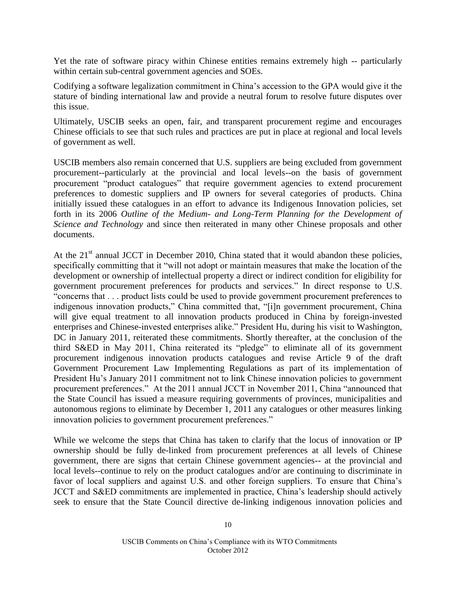Yet the rate of software piracy within Chinese entities remains extremely high -- particularly within certain sub-central government agencies and SOEs.

Codifying a software legalization commitment in China's accession to the GPA would give it the stature of binding international law and provide a neutral forum to resolve future disputes over this issue.

Ultimately, USCIB seeks an open, fair, and transparent procurement regime and encourages Chinese officials to see that such rules and practices are put in place at regional and local levels of government as well.

USCIB members also remain concerned that U.S. suppliers are being excluded from government procurement--particularly at the provincial and local levels--on the basis of government procurement "product catalogues" that require government agencies to extend procurement preferences to domestic suppliers and IP owners for several categories of products. China initially issued these catalogues in an effort to advance its Indigenous Innovation policies, set forth in its 2006 *Outline of the Medium- and Long-Term Planning for the Development of Science and Technology* and since then reiterated in many other Chinese proposals and other documents.

At the  $21<sup>st</sup>$  annual JCCT in December 2010, China stated that it would abandon these policies, specifically committing that it "will not adopt or maintain measures that make the location of the development or ownership of intellectual property a direct or indirect condition for eligibility for government procurement preferences for products and services." In direct response to U.S. "concerns that . . . product lists could be used to provide government procurement preferences to indigenous innovation products," China committed that, "[i]n government procurement, China will give equal treatment to all innovation products produced in China by foreign-invested enterprises and Chinese-invested enterprises alike." President Hu, during his visit to Washington, DC in January 2011, reiterated these commitments. Shortly thereafter, at the conclusion of the third S&ED in May 2011, China reiterated its "pledge" to eliminate all of its government procurement indigenous innovation products catalogues and revise Article 9 of the draft Government Procurement Law Implementing Regulations as part of its implementation of President Hu's January 2011 commitment not to link Chinese innovation policies to government procurement preferences." At the 2011 annual JCCT in November 2011, China "announced that the State Council has issued a measure requiring governments of provinces, municipalities and autonomous regions to eliminate by December 1, 2011 any catalogues or other measures linking innovation policies to government procurement preferences."

While we welcome the steps that China has taken to clarify that the locus of innovation or IP ownership should be fully de-linked from procurement preferences at all levels of Chinese government, there are signs that certain Chinese government agencies-- at the provincial and local levels--continue to rely on the product catalogues and/or are continuing to discriminate in favor of local suppliers and against U.S. and other foreign suppliers. To ensure that China's JCCT and S&ED commitments are implemented in practice, China's leadership should actively seek to ensure that the State Council directive de-linking indigenous innovation policies and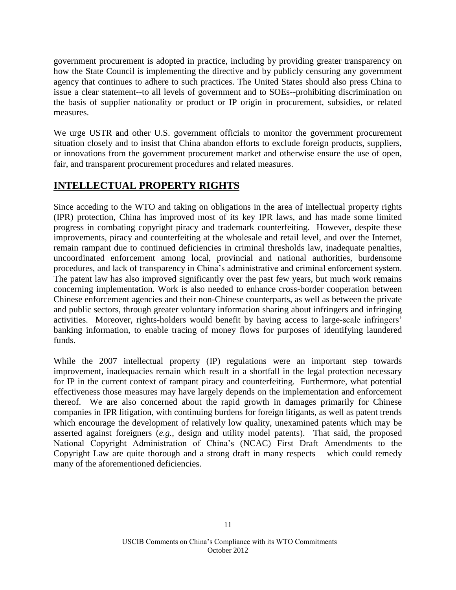government procurement is adopted in practice, including by providing greater transparency on how the State Council is implementing the directive and by publicly censuring any government agency that continues to adhere to such practices. The United States should also press China to issue a clear statement--to all levels of government and to SOEs--prohibiting discrimination on the basis of supplier nationality or product or IP origin in procurement, subsidies, or related measures.

We urge USTR and other U.S. government officials to monitor the government procurement situation closely and to insist that China abandon efforts to exclude foreign products, suppliers, or innovations from the government procurement market and otherwise ensure the use of open, fair, and transparent procurement procedures and related measures.

# **INTELLECTUAL PROPERTY RIGHTS**

Since acceding to the WTO and taking on obligations in the area of intellectual property rights (IPR) protection, China has improved most of its key IPR laws, and has made some limited progress in combating copyright piracy and trademark counterfeiting. However, despite these improvements, piracy and counterfeiting at the wholesale and retail level, and over the Internet, remain rampant due to continued deficiencies in criminal thresholds law, inadequate penalties, uncoordinated enforcement among local, provincial and national authorities, burdensome procedures, and lack of transparency in China's administrative and criminal enforcement system. The patent law has also improved significantly over the past few years, but much work remains concerning implementation. Work is also needed to enhance cross-border cooperation between Chinese enforcement agencies and their non-Chinese counterparts, as well as between the private and public sectors, through greater voluntary information sharing about infringers and infringing activities. Moreover, rights-holders would benefit by having access to large-scale infringers' banking information, to enable tracing of money flows for purposes of identifying laundered funds.

While the 2007 intellectual property (IP) regulations were an important step towards improvement, inadequacies remain which result in a shortfall in the legal protection necessary for IP in the current context of rampant piracy and counterfeiting. Furthermore, what potential effectiveness those measures may have largely depends on the implementation and enforcement thereof. We are also concerned about the rapid growth in damages primarily for Chinese companies in IPR litigation, with continuing burdens for foreign litigants, as well as patent trends which encourage the development of relatively low quality, unexamined patents which may be asserted against foreigners (*e.g.*, design and utility model patents). That said, the proposed National Copyright Administration of China's (NCAC) First Draft Amendments to the Copyright Law are quite thorough and a strong draft in many respects – which could remedy many of the aforementioned deficiencies.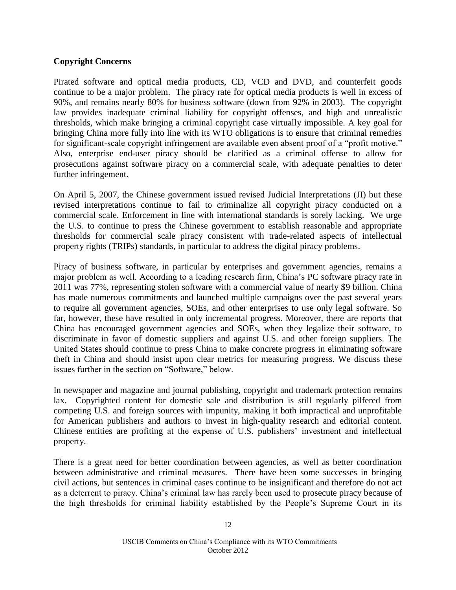### **Copyright Concerns**

Pirated software and optical media products, CD, VCD and DVD, and counterfeit goods continue to be a major problem. The piracy rate for optical media products is well in excess of 90%, and remains nearly 80% for business software (down from 92% in 2003). The copyright law provides inadequate criminal liability for copyright offenses, and high and unrealistic thresholds, which make bringing a criminal copyright case virtually impossible. A key goal for bringing China more fully into line with its WTO obligations is to ensure that criminal remedies for significant-scale copyright infringement are available even absent proof of a "profit motive." Also, enterprise end-user piracy should be clarified as a criminal offense to allow for prosecutions against software piracy on a commercial scale, with adequate penalties to deter further infringement.

On April 5, 2007, the Chinese government issued revised Judicial Interpretations (JI) but these revised interpretations continue to fail to criminalize all copyright piracy conducted on a commercial scale. Enforcement in line with international standards is sorely lacking. We urge the U.S. to continue to press the Chinese government to establish reasonable and appropriate thresholds for commercial scale piracy consistent with trade-related aspects of intellectual property rights (TRIPs) standards, in particular to address the digital piracy problems.

Piracy of business software, in particular by enterprises and government agencies, remains a major problem as well. According to a leading research firm, China's PC software piracy rate in 2011 was 77%, representing stolen software with a commercial value of nearly \$9 billion. China has made numerous commitments and launched multiple campaigns over the past several years to require all government agencies, SOEs, and other enterprises to use only legal software. So far, however, these have resulted in only incremental progress. Moreover, there are reports that China has encouraged government agencies and SOEs, when they legalize their software, to discriminate in favor of domestic suppliers and against U.S. and other foreign suppliers. The United States should continue to press China to make concrete progress in eliminating software theft in China and should insist upon clear metrics for measuring progress. We discuss these issues further in the section on "Software," below.

In newspaper and magazine and journal publishing, copyright and trademark protection remains lax. Copyrighted content for domestic sale and distribution is still regularly pilfered from competing U.S. and foreign sources with impunity, making it both impractical and unprofitable for American publishers and authors to invest in high-quality research and editorial content. Chinese entities are profiting at the expense of U.S. publishers' investment and intellectual property.

There is a great need for better coordination between agencies, as well as better coordination between administrative and criminal measures. There have been some successes in bringing civil actions, but sentences in criminal cases continue to be insignificant and therefore do not act as a deterrent to piracy. China's criminal law has rarely been used to prosecute piracy because of the high thresholds for criminal liability established by the People's Supreme Court in its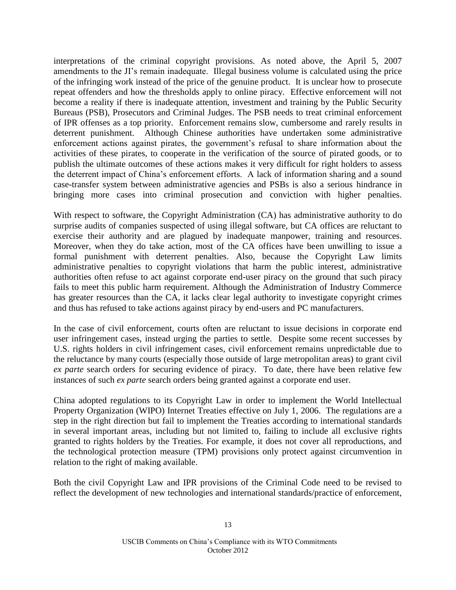interpretations of the criminal copyright provisions. As noted above, the April 5, 2007 amendments to the JI's remain inadequate. Illegal business volume is calculated using the price of the infringing work instead of the price of the genuine product. It is unclear how to prosecute repeat offenders and how the thresholds apply to online piracy. Effective enforcement will not become a reality if there is inadequate attention, investment and training by the Public Security Bureaus (PSB), Prosecutors and Criminal Judges. The PSB needs to treat criminal enforcement of IPR offenses as a top priority. Enforcement remains slow, cumbersome and rarely results in deterrent punishment. Although Chinese authorities have undertaken some administrative enforcement actions against pirates, the government's refusal to share information about the activities of these pirates, to cooperate in the verification of the source of pirated goods, or to publish the ultimate outcomes of these actions makes it very difficult for right holders to assess the deterrent impact of China's enforcement efforts. A lack of information sharing and a sound case-transfer system between administrative agencies and PSBs is also a serious hindrance in bringing more cases into criminal prosecution and conviction with higher penalties.

With respect to software, the Copyright Administration (CA) has administrative authority to do surprise audits of companies suspected of using illegal software, but CA offices are reluctant to exercise their authority and are plagued by inadequate manpower, training and resources. Moreover, when they do take action, most of the CA offices have been unwilling to issue a formal punishment with deterrent penalties. Also, because the Copyright Law limits administrative penalties to copyright violations that harm the public interest, administrative authorities often refuse to act against corporate end-user piracy on the ground that such piracy fails to meet this public harm requirement. Although the Administration of Industry Commerce has greater resources than the CA, it lacks clear legal authority to investigate copyright crimes and thus has refused to take actions against piracy by end-users and PC manufacturers.

In the case of civil enforcement, courts often are reluctant to issue decisions in corporate end user infringement cases, instead urging the parties to settle. Despite some recent successes by U.S. rights holders in civil infringement cases, civil enforcement remains unpredictable due to the reluctance by many courts (especially those outside of large metropolitan areas) to grant civil *ex parte* search orders for securing evidence of piracy. To date, there have been relative few instances of such *ex parte* search orders being granted against a corporate end user.

China adopted regulations to its Copyright Law in order to implement the World Intellectual Property Organization (WIPO) Internet Treaties effective on July 1, 2006. The regulations are a step in the right direction but fail to implement the Treaties according to international standards in several important areas, including but not limited to, failing to include all exclusive rights granted to rights holders by the Treaties. For example, it does not cover all reproductions, and the technological protection measure (TPM) provisions only protect against circumvention in relation to the right of making available.

Both the civil Copyright Law and IPR provisions of the Criminal Code need to be revised to reflect the development of new technologies and international standards/practice of enforcement,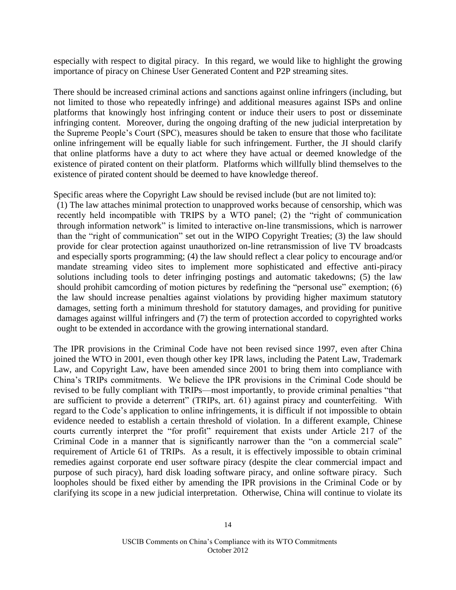especially with respect to digital piracy. In this regard, we would like to highlight the growing importance of piracy on Chinese User Generated Content and P2P streaming sites.

There should be increased criminal actions and sanctions against online infringers (including, but not limited to those who repeatedly infringe) and additional measures against ISPs and online platforms that knowingly host infringing content or induce their users to post or disseminate infringing content. Moreover, during the ongoing drafting of the new judicial interpretation by the Supreme People's Court (SPC), measures should be taken to ensure that those who facilitate online infringement will be equally liable for such infringement. Further, the JI should clarify that online platforms have a duty to act where they have actual or deemed knowledge of the existence of pirated content on their platform. Platforms which willfully blind themselves to the existence of pirated content should be deemed to have knowledge thereof.

Specific areas where the Copyright Law should be revised include (but are not limited to):

(1) The law attaches minimal protection to unapproved works because of censorship, which was recently held incompatible with TRIPS by a WTO panel; (2) the "right of communication through information network" is limited to interactive on-line transmissions, which is narrower than the "right of communication" set out in the WIPO Copyright Treaties; (3) the law should provide for clear protection against unauthorized on-line retransmission of live TV broadcasts and especially sports programming; (4) the law should reflect a clear policy to encourage and/or mandate streaming video sites to implement more sophisticated and effective anti-piracy solutions including tools to deter infringing postings and automatic takedowns; (5) the law should prohibit camcording of motion pictures by redefining the "personal use" exemption; (6) the law should increase penalties against violations by providing higher maximum statutory damages, setting forth a minimum threshold for statutory damages, and providing for punitive damages against willful infringers and (7) the term of protection accorded to copyrighted works ought to be extended in accordance with the growing international standard.

The IPR provisions in the Criminal Code have not been revised since 1997, even after China joined the WTO in 2001, even though other key IPR laws, including the Patent Law, Trademark Law, and Copyright Law, have been amended since 2001 to bring them into compliance with China's TRIPs commitments. We believe the IPR provisions in the Criminal Code should be revised to be fully compliant with TRIPs—most importantly, to provide criminal penalties "that are sufficient to provide a deterrent" (TRIPs, art. 61) against piracy and counterfeiting. With regard to the Code's application to online infringements, it is difficult if not impossible to obtain evidence needed to establish a certain threshold of violation. In a different example, Chinese courts currently interpret the "for profit" requirement that exists under Article 217 of the Criminal Code in a manner that is significantly narrower than the "on a commercial scale" requirement of Article 61 of TRIPs. As a result, it is effectively impossible to obtain criminal remedies against corporate end user software piracy (despite the clear commercial impact and purpose of such piracy), hard disk loading software piracy, and online software piracy. Such loopholes should be fixed either by amending the IPR provisions in the Criminal Code or by clarifying its scope in a new judicial interpretation. Otherwise, China will continue to violate its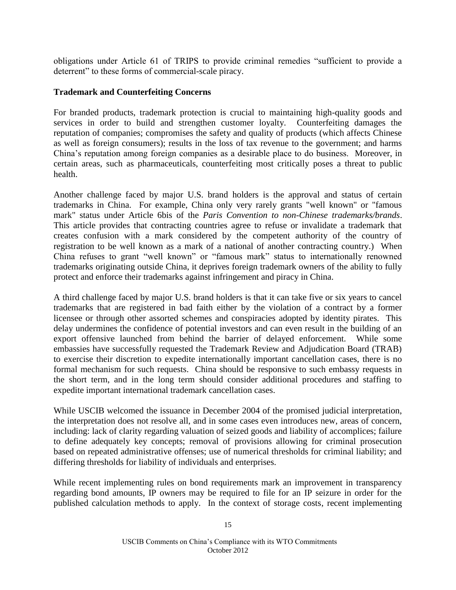obligations under Article 61 of TRIPS to provide criminal remedies "sufficient to provide a deterrent" to these forms of commercial-scale piracy.

#### **Trademark and Counterfeiting Concerns**

For branded products, trademark protection is crucial to maintaining high-quality goods and services in order to build and strengthen customer loyalty. Counterfeiting damages the reputation of companies; compromises the safety and quality of products (which affects Chinese as well as foreign consumers); results in the loss of tax revenue to the government; and harms China's reputation among foreign companies as a desirable place to do business.Moreover, in certain areas, such as pharmaceuticals, counterfeiting most critically poses a threat to public health.

Another challenge faced by major U.S. brand holders is the approval and status of certain trademarks in China. For example, China only very rarely grants "well known" or "famous mark" status under Article 6bis of the *Paris Convention to non-Chinese trademarks/brands*. This article provides that contracting countries agree to refuse or invalidate a trademark that creates confusion with a mark considered by the competent authority of the country of registration to be well known as a mark of a national of another contracting country.) When China refuses to grant "well known" or "famous mark" status to internationally renowned trademarks originating outside China, it deprives foreign trademark owners of the ability to fully protect and enforce their trademarks against infringement and piracy in China.

A third challenge faced by major U.S. brand holders is that it can take five or six years to cancel trademarks that are registered in bad faith either by the violation of a contract by a former licensee or through other assorted schemes and conspiracies adopted by identity pirates. This delay undermines the confidence of potential investors and can even result in the building of an export offensive launched from behind the barrier of delayed enforcement. While some embassies have successfully requested the Trademark Review and Adjudication Board (TRAB) to exercise their discretion to expedite internationally important cancellation cases, there is no formal mechanism for such requests. China should be responsive to such embassy requests in the short term, and in the long term should consider additional procedures and staffing to expedite important international trademark cancellation cases.

While USCIB welcomed the issuance in December 2004 of the promised judicial interpretation, the interpretation does not resolve all, and in some cases even introduces new, areas of concern, including: lack of clarity regarding valuation of seized goods and liability of accomplices; failure to define adequately key concepts; removal of provisions allowing for criminal prosecution based on repeated administrative offenses; use of numerical thresholds for criminal liability; and differing thresholds for liability of individuals and enterprises.

While recent implementing rules on bond requirements mark an improvement in transparency regarding bond amounts, IP owners may be required to file for an IP seizure in order for the published calculation methods to apply. In the context of storage costs, recent implementing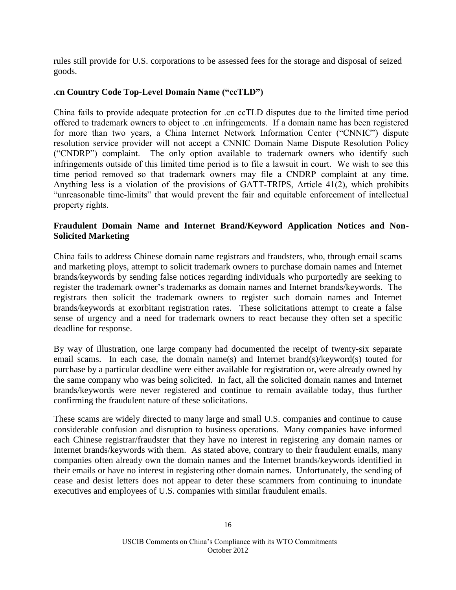rules still provide for U.S. corporations to be assessed fees for the storage and disposal of seized goods.

### **.cn Country Code Top-Level Domain Name ("ccTLD")**

China fails to provide adequate protection for .cn ccTLD disputes due to the limited time period offered to trademark owners to object to .cn infringements. If a domain name has been registered for more than two years, a China Internet Network Information Center ("CNNIC") dispute resolution service provider will not accept a CNNIC Domain Name Dispute Resolution Policy ("CNDRP") complaint. The only option available to trademark owners who identify such infringements outside of this limited time period is to file a lawsuit in court. We wish to see this time period removed so that trademark owners may file a CNDRP complaint at any time. Anything less is a violation of the provisions of GATT-TRIPS, Article 41(2), which prohibits "unreasonable time-limits" that would prevent the fair and equitable enforcement of intellectual property rights.

### **Fraudulent Domain Name and Internet Brand/Keyword Application Notices and Non-Solicited Marketing**

China fails to address Chinese domain name registrars and fraudsters, who, through email scams and marketing ploys, attempt to solicit trademark owners to purchase domain names and Internet brands/keywords by sending false notices regarding individuals who purportedly are seeking to register the trademark owner's trademarks as domain names and Internet brands/keywords. The registrars then solicit the trademark owners to register such domain names and Internet brands/keywords at exorbitant registration rates. These solicitations attempt to create a false sense of urgency and a need for trademark owners to react because they often set a specific deadline for response.

By way of illustration, one large company had documented the receipt of twenty-six separate email scams. In each case, the domain name(s) and Internet brand(s)/keyword(s) touted for purchase by a particular deadline were either available for registration or, were already owned by the same company who was being solicited. In fact, all the solicited domain names and Internet brands/keywords were never registered and continue to remain available today, thus further confirming the fraudulent nature of these solicitations.

These scams are widely directed to many large and small U.S. companies and continue to cause considerable confusion and disruption to business operations. Many companies have informed each Chinese registrar/fraudster that they have no interest in registering any domain names or Internet brands/keywords with them. As stated above, contrary to their fraudulent emails, many companies often already own the domain names and the Internet brands/keywords identified in their emails or have no interest in registering other domain names. Unfortunately, the sending of cease and desist letters does not appear to deter these scammers from continuing to inundate executives and employees of U.S. companies with similar fraudulent emails.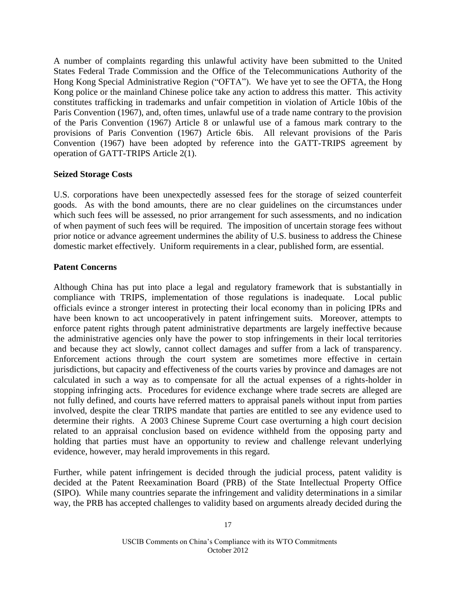A number of complaints regarding this unlawful activity have been submitted to the United States Federal Trade Commission and the Office of the Telecommunications Authority of the Hong Kong Special Administrative Region ("OFTA"). We have yet to see the OFTA, the Hong Kong police or the mainland Chinese police take any action to address this matter. This activity constitutes trafficking in trademarks and unfair competition in violation of Article 10bis of the Paris Convention (1967), and, often times, unlawful use of a trade name contrary to the provision of the Paris Convention (1967) Article 8 or unlawful use of a famous mark contrary to the provisions of Paris Convention (1967) Article 6bis. All relevant provisions of the Paris Convention (1967) have been adopted by reference into the GATT-TRIPS agreement by operation of GATT-TRIPS Article 2(1).

### **Seized Storage Costs**

U.S. corporations have been unexpectedly assessed fees for the storage of seized counterfeit goods. As with the bond amounts, there are no clear guidelines on the circumstances under which such fees will be assessed, no prior arrangement for such assessments, and no indication of when payment of such fees will be required. The imposition of uncertain storage fees without prior notice or advance agreement undermines the ability of U.S. business to address the Chinese domestic market effectively. Uniform requirements in a clear, published form, are essential.

### **Patent Concerns**

Although China has put into place a legal and regulatory framework that is substantially in compliance with TRIPS, implementation of those regulations is inadequate. Local public officials evince a stronger interest in protecting their local economy than in policing IPRs and have been known to act uncooperatively in patent infringement suits. Moreover, attempts to enforce patent rights through patent administrative departments are largely ineffective because the administrative agencies only have the power to stop infringements in their local territories and because they act slowly, cannot collect damages and suffer from a lack of transparency. Enforcement actions through the court system are sometimes more effective in certain jurisdictions, but capacity and effectiveness of the courts varies by province and damages are not calculated in such a way as to compensate for all the actual expenses of a rights-holder in stopping infringing acts. Procedures for evidence exchange where trade secrets are alleged are not fully defined, and courts have referred matters to appraisal panels without input from parties involved, despite the clear TRIPS mandate that parties are entitled to see any evidence used to determine their rights. A 2003 Chinese Supreme Court case overturning a high court decision related to an appraisal conclusion based on evidence withheld from the opposing party and holding that parties must have an opportunity to review and challenge relevant underlying evidence, however, may herald improvements in this regard.

Further, while patent infringement is decided through the judicial process, patent validity is decided at the Patent Reexamination Board (PRB) of the State Intellectual Property Office (SIPO). While many countries separate the infringement and validity determinations in a similar way, the PRB has accepted challenges to validity based on arguments already decided during the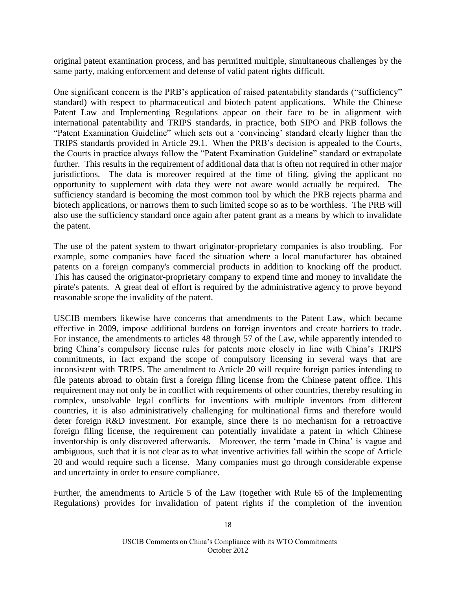original patent examination process, and has permitted multiple, simultaneous challenges by the same party, making enforcement and defense of valid patent rights difficult.

One significant concern is the PRB's application of raised patentability standards ("sufficiency" standard) with respect to pharmaceutical and biotech patent applications. While the Chinese Patent Law and Implementing Regulations appear on their face to be in alignment with international patentability and TRIPS standards, in practice, both SIPO and PRB follows the "Patent Examination Guideline" which sets out a 'convincing' standard clearly higher than the TRIPS standards provided in Article 29.1. When the PRB's decision is appealed to the Courts, the Courts in practice always follow the "Patent Examination Guideline" standard or extrapolate further. This results in the requirement of additional data that is often not required in other major jurisdictions. The data is moreover required at the time of filing, giving the applicant no opportunity to supplement with data they were not aware would actually be required. The sufficiency standard is becoming the most common tool by which the PRB rejects pharma and biotech applications, or narrows them to such limited scope so as to be worthless. The PRB will also use the sufficiency standard once again after patent grant as a means by which to invalidate the patent.

The use of the patent system to thwart originator-proprietary companies is also troubling. For example, some companies have faced the situation where a local manufacturer has obtained patents on a foreign company's commercial products in addition to knocking off the product. This has caused the originator-proprietary company to expend time and money to invalidate the pirate's patents. A great deal of effort is required by the administrative agency to prove beyond reasonable scope the invalidity of the patent.

USCIB members likewise have concerns that amendments to the Patent Law, which became effective in 2009, impose additional burdens on foreign inventors and create barriers to trade. For instance, the amendments to articles 48 through 57 of the Law, while apparently intended to bring China's compulsory license rules for patents more closely in line with China's TRIPS commitments, in fact expand the scope of compulsory licensing in several ways that are inconsistent with TRIPS. The amendment to Article 20 will require foreign parties intending to file patents abroad to obtain first a foreign filing license from the Chinese patent office. This requirement may not only be in conflict with requirements of other countries, thereby resulting in complex, unsolvable legal conflicts for inventions with multiple inventors from different countries, it is also administratively challenging for multinational firms and therefore would deter foreign R&D investment. For example, since there is no mechanism for a retroactive foreign filing license, the requirement can potentially invalidate a patent in which Chinese inventorship is only discovered afterwards. Moreover, the term 'made in China' is vague and ambiguous, such that it is not clear as to what inventive activities fall within the scope of Article 20 and would require such a license. Many companies must go through considerable expense and uncertainty in order to ensure compliance.

Further, the amendments to Article 5 of the Law (together with Rule 65 of the Implementing Regulations) provides for invalidation of patent rights if the completion of the invention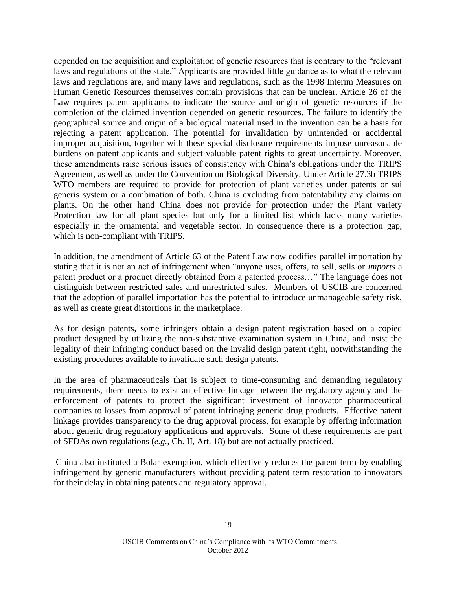depended on the acquisition and exploitation of genetic resources that is contrary to the "relevant laws and regulations of the state." Applicants are provided little guidance as to what the relevant laws and regulations are, and many laws and regulations, such as the 1998 Interim Measures on Human Genetic Resources themselves contain provisions that can be unclear. Article 26 of the Law requires patent applicants to indicate the source and origin of genetic resources if the completion of the claimed invention depended on genetic resources. The failure to identify the geographical source and origin of a biological material used in the invention can be a basis for rejecting a patent application. The potential for invalidation by unintended or accidental improper acquisition, together with these special disclosure requirements impose unreasonable burdens on patent applicants and subject valuable patent rights to great uncertainty. Moreover, these amendments raise serious issues of consistency with China's obligations under the TRIPS Agreement, as well as under the Convention on Biological Diversity. Under Article 27.3b TRIPS WTO members are required to provide for protection of plant varieties under patents or sui generis system or a combination of both. China is excluding from patentability any claims on plants. On the other hand China does not provide for protection under the Plant variety Protection law for all plant species but only for a limited list which lacks many varieties especially in the ornamental and vegetable sector. In consequence there is a protection gap, which is non-compliant with TRIPS.

In addition, the amendment of Article 63 of the Patent Law now codifies parallel importation by stating that it is not an act of infringement when "anyone uses, offers, to sell, sells or *imports* a patent product or a product directly obtained from a patented process…" The language does not distinguish between restricted sales and unrestricted sales. Members of USCIB are concerned that the adoption of parallel importation has the potential to introduce unmanageable safety risk, as well as create great distortions in the marketplace.

As for design patents, some infringers obtain a design patent registration based on a copied product designed by utilizing the non-substantive examination system in China, and insist the legality of their infringing conduct based on the invalid design patent right, notwithstanding the existing procedures available to invalidate such design patents.

In the area of pharmaceuticals that is subject to time-consuming and demanding regulatory requirements, there needs to exist an effective linkage between the regulatory agency and the enforcement of patents to protect the significant investment of innovator pharmaceutical companies to losses from approval of patent infringing generic drug products. Effective patent linkage provides transparency to the drug approval process, for example by offering information about generic drug regulatory applications and approvals. Some of these requirements are part of SFDAs own regulations (*e.g.*, Ch. II, Art. 18) but are not actually practiced.

China also instituted a Bolar exemption, which effectively reduces the patent term by enabling infringement by generic manufacturers without providing patent term restoration to innovators for their delay in obtaining patents and regulatory approval.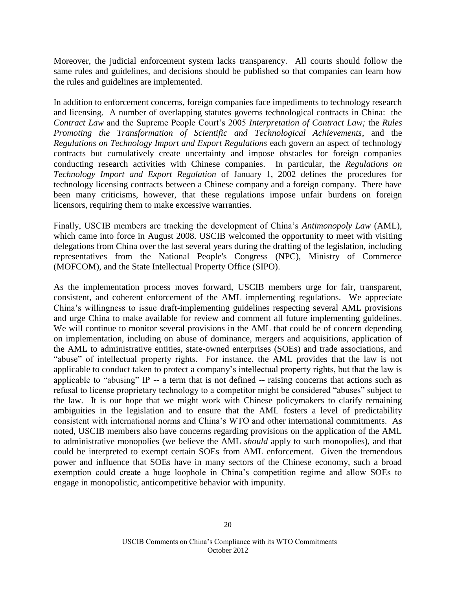Moreover, the judicial enforcement system lacks transparency. All courts should follow the same rules and guidelines, and decisions should be published so that companies can learn how the rules and guidelines are implemented.

In addition to enforcement concerns, foreign companies face impediments to technology research and licensing. A number of overlapping statutes governs technological contracts in China: the *Contract Law* and the Supreme People Court's 2005 *Interpretation of Contract Law;* the *Rules Promoting the Transformation of Scientific and Technological Achievements*, and the *Regulations on Technology Import and Export Regulations* each govern an aspect of technology contracts but cumulatively create uncertainty and impose obstacles for foreign companies conducting research activities with Chinese companies. In particular, the *Regulations on Technology Import and Export Regulation* of January 1, 2002 defines the procedures for technology licensing contracts between a Chinese company and a foreign company. There have been many criticisms, however, that these regulations impose unfair burdens on foreign licensors, requiring them to make excessive warranties.

Finally, USCIB members are tracking the development of China's *Antimonopoly Law* (AML), which came into force in August 2008. USCIB welcomed the opportunity to meet with visiting delegations from China over the last several years during the drafting of the legislation, including representatives from the National People's Congress (NPC), Ministry of Commerce (MOFCOM), and the State Intellectual Property Office (SIPO).

As the implementation process moves forward, USCIB members urge for fair, transparent, consistent, and coherent enforcement of the AML implementing regulations. We appreciate China's willingness to issue draft-implementing guidelines respecting several AML provisions and urge China to make available for review and comment all future implementing guidelines. We will continue to monitor several provisions in the AML that could be of concern depending on implementation, including on abuse of dominance, mergers and acquisitions, application of the AML to administrative entities, state-owned enterprises (SOEs) and trade associations, and "abuse" of intellectual property rights. For instance, the AML provides that the law is not applicable to conduct taken to protect a company's intellectual property rights, but that the law is applicable to "abusing" IP -- a term that is not defined -- raising concerns that actions such as refusal to license proprietary technology to a competitor might be considered "abuses" subject to the law. It is our hope that we might work with Chinese policymakers to clarify remaining ambiguities in the legislation and to ensure that the AML fosters a level of predictability consistent with international norms and China's WTO and other international commitments. As noted, USCIB members also have concerns regarding provisions on the application of the AML to administrative monopolies (we believe the AML *should* apply to such monopolies), and that could be interpreted to exempt certain SOEs from AML enforcement. Given the tremendous power and influence that SOEs have in many sectors of the Chinese economy, such a broad exemption could create a huge loophole in China's competition regime and allow SOEs to engage in monopolistic, anticompetitive behavior with impunity.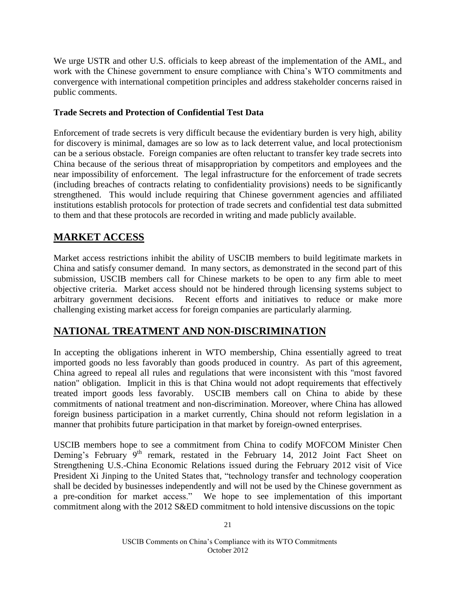We urge USTR and other U.S. officials to keep abreast of the implementation of the AML, and work with the Chinese government to ensure compliance with China's WTO commitments and convergence with international competition principles and address stakeholder concerns raised in public comments.

### **Trade Secrets and Protection of Confidential Test Data**

Enforcement of trade secrets is very difficult because the evidentiary burden is very high, ability for discovery is minimal, damages are so low as to lack deterrent value, and local protectionism can be a serious obstacle. Foreign companies are often reluctant to transfer key trade secrets into China because of the serious threat of misappropriation by competitors and employees and the near impossibility of enforcement. The legal infrastructure for the enforcement of trade secrets (including breaches of contracts relating to confidentiality provisions) needs to be significantly strengthened. This would include requiring that Chinese government agencies and affiliated institutions establish protocols for protection of trade secrets and confidential test data submitted to them and that these protocols are recorded in writing and made publicly available.

# **MARKET ACCESS**

Market access restrictions inhibit the ability of USCIB members to build legitimate markets in China and satisfy consumer demand. In many sectors, as demonstrated in the second part of this submission, USCIB members call for Chinese markets to be open to any firm able to meet objective criteria. Market access should not be hindered through licensing systems subject to arbitrary government decisions. Recent efforts and initiatives to reduce or make more challenging existing market access for foreign companies are particularly alarming.

# **NATIONAL TREATMENT AND NON-DISCRIMINATION**

In accepting the obligations inherent in WTO membership, China essentially agreed to treat imported goods no less favorably than goods produced in country. As part of this agreement, China agreed to repeal all rules and regulations that were inconsistent with this "most favored nation" obligation. Implicit in this is that China would not adopt requirements that effectively treated import goods less favorably. USCIB members call on China to abide by these commitments of national treatment and non-discrimination. Moreover, where China has allowed foreign business participation in a market currently, China should not reform legislation in a manner that prohibits future participation in that market by foreign-owned enterprises.

USCIB members hope to see a commitment from China to codify MOFCOM Minister Chen Deming's February 9<sup>th</sup> remark, restated in the February 14, 2012 Joint Fact Sheet on Strengthening U.S.-China Economic Relations issued during the February 2012 visit of Vice President Xi Jinping to the United States that, "technology transfer and technology cooperation shall be decided by businesses independently and will not be used by the Chinese government as a pre-condition for market access." We hope to see implementation of this important commitment along with the 2012 S&ED commitment to hold intensive discussions on the topic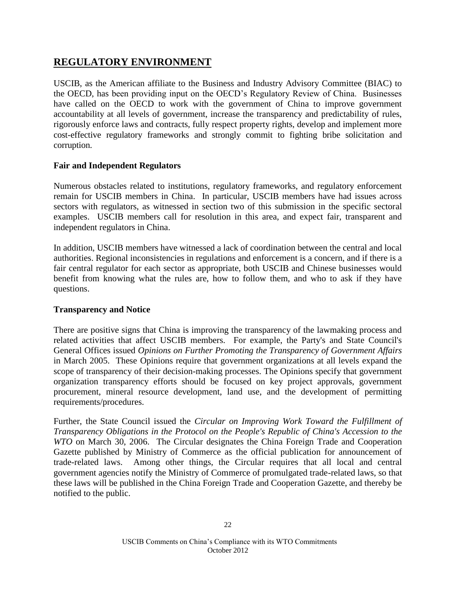# **REGULATORY ENVIRONMENT**

USCIB, as the American affiliate to the Business and Industry Advisory Committee (BIAC) to the OECD, has been providing input on the OECD's Regulatory Review of China. Businesses have called on the OECD to work with the government of China to improve government accountability at all levels of government, increase the transparency and predictability of rules, rigorously enforce laws and contracts, fully respect property rights, develop and implement more cost-effective regulatory frameworks and strongly commit to fighting bribe solicitation and corruption.

### **Fair and Independent Regulators**

Numerous obstacles related to institutions, regulatory frameworks, and regulatory enforcement remain for USCIB members in China. In particular, USCIB members have had issues across sectors with regulators, as witnessed in section two of this submission in the specific sectoral examples. USCIB members call for resolution in this area, and expect fair, transparent and independent regulators in China.

In addition, USCIB members have witnessed a lack of coordination between the central and local authorities. Regional inconsistencies in regulations and enforcement is a concern, and if there is a fair central regulator for each sector as appropriate, both USCIB and Chinese businesses would benefit from knowing what the rules are, how to follow them, and who to ask if they have questions.

### **Transparency and Notice**

There are positive signs that China is improving the transparency of the lawmaking process and related activities that affect USCIB members. For example, the Party's and State Council's General Offices issued *Opinions on Further Promoting the Transparency of Government Affairs* in March 2005. These Opinions require that government organizations at all levels expand the scope of transparency of their decision-making processes. The Opinions specify that government organization transparency efforts should be focused on key project approvals, government procurement, mineral resource development, land use, and the development of permitting requirements/procedures.

Further, the State Council issued the *Circular on Improving Work Toward the Fulfillment of Transparency Obligations in the Protocol on the People's Republic of China's Accession to the WTO* on March 30, 2006. The Circular designates the China Foreign Trade and Cooperation Gazette published by Ministry of Commerce as the official publication for announcement of trade-related laws. Among other things, the Circular requires that all local and central government agencies notify the Ministry of Commerce of promulgated trade-related laws, so that these laws will be published in the China Foreign Trade and Cooperation Gazette, and thereby be notified to the public.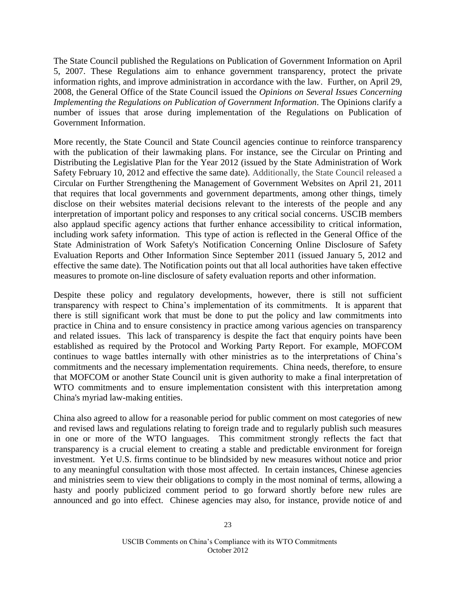The State Council published the Regulations on Publication of Government Information on April 5, 2007. These Regulations aim to enhance government transparency, protect the private information rights, and improve administration in accordance with the law. Further, on April 29, 2008, the General Office of the State Council issued the *Opinions on Several Issues Concerning Implementing the Regulations on Publication of Government Information*. The Opinions clarify a number of issues that arose during implementation of the Regulations on Publication of Government Information.

More recently, the State Council and State Council agencies continue to reinforce transparency with the publication of their lawmaking plans. For instance, see the Circular on Printing and Distributing the Legislative Plan for the Year 2012 (issued by the State Administration of Work Safety February 10, 2012 and effective the same date). Additionally, the State Council released a Circular on Further Strengthening the Management of Government Websites on April 21, 2011 that requires that local governments and government departments, among other things, timely disclose on their websites material decisions relevant to the interests of the people and any interpretation of important policy and responses to any critical social concerns. USCIB members also applaud specific agency actions that further enhance accessibility to critical information, including work safety information. This type of action is reflected in the General Office of the State Administration of Work Safety's Notification Concerning Online Disclosure of Safety Evaluation Reports and Other Information Since September 2011 (issued January 5, 2012 and effective the same date). The Notification points out that all local authorities have taken effective measures to promote on-line disclosure of safety evaluation reports and other information.

Despite these policy and regulatory developments, however, there is still not sufficient transparency with respect to China's implementation of its commitments. It is apparent that there is still significant work that must be done to put the policy and law commitments into practice in China and to ensure consistency in practice among various agencies on transparency and related issues. This lack of transparency is despite the fact that enquiry points have been established as required by the Protocol and Working Party Report. For example, MOFCOM continues to wage battles internally with other ministries as to the interpretations of China's commitments and the necessary implementation requirements. China needs, therefore, to ensure that MOFCOM or another State Council unit is given authority to make a final interpretation of WTO commitments and to ensure implementation consistent with this interpretation among China's myriad law-making entities.

China also agreed to allow for a reasonable period for public comment on most categories of new and revised laws and regulations relating to foreign trade and to regularly publish such measures in one or more of the WTO languages. This commitment strongly reflects the fact that transparency is a crucial element to creating a stable and predictable environment for foreign investment. Yet U.S. firms continue to be blindsided by new measures without notice and prior to any meaningful consultation with those most affected. In certain instances, Chinese agencies and ministries seem to view their obligations to comply in the most nominal of terms, allowing a hasty and poorly publicized comment period to go forward shortly before new rules are announced and go into effect. Chinese agencies may also, for instance, provide notice of and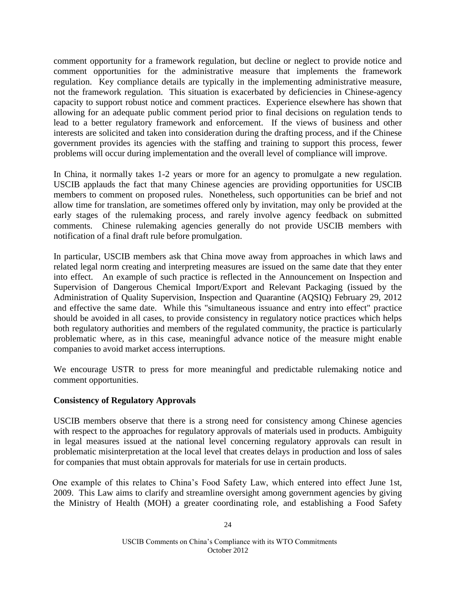comment opportunity for a framework regulation, but decline or neglect to provide notice and comment opportunities for the administrative measure that implements the framework regulation. Key compliance details are typically in the implementing administrative measure, not the framework regulation. This situation is exacerbated by deficiencies in Chinese-agency capacity to support robust notice and comment practices. Experience elsewhere has shown that allowing for an adequate public comment period prior to final decisions on regulation tends to lead to a better regulatory framework and enforcement. If the views of business and other interests are solicited and taken into consideration during the drafting process, and if the Chinese government provides its agencies with the staffing and training to support this process, fewer problems will occur during implementation and the overall level of compliance will improve.

In China, it normally takes 1-2 years or more for an agency to promulgate a new regulation. USCIB applauds the fact that many Chinese agencies are providing opportunities for USCIB members to comment on proposed rules. Nonetheless, such opportunities can be brief and not allow time for translation, are sometimes offered only by invitation, may only be provided at the early stages of the rulemaking process, and rarely involve agency feedback on submitted comments. Chinese rulemaking agencies generally do not provide USCIB members with notification of a final draft rule before promulgation.

In particular, USCIB members ask that China move away from approaches in which laws and related legal norm creating and interpreting measures are issued on the same date that they enter into effect. An example of such practice is reflected in the Announcement on Inspection and Supervision of Dangerous Chemical Import/Export and Relevant Packaging (issued by the Administration of Quality Supervision, Inspection and Quarantine (AQSIQ) February 29, 2012 and effective the same date. While this "simultaneous issuance and entry into effect" practice should be avoided in all cases, to provide consistency in regulatory notice practices which helps both regulatory authorities and members of the regulated community, the practice is particularly problematic where, as in this case, meaningful advance notice of the measure might enable companies to avoid market access interruptions.

We encourage USTR to press for more meaningful and predictable rulemaking notice and comment opportunities.

### **Consistency of Regulatory Approvals**

USCIB members observe that there is a strong need for consistency among Chinese agencies with respect to the approaches for regulatory approvals of materials used in products. Ambiguity in legal measures issued at the national level concerning regulatory approvals can result in problematic misinterpretation at the local level that creates delays in production and loss of sales for companies that must obtain approvals for materials for use in certain products.

One example of this relates to China's Food Safety Law, which entered into effect June 1st, 2009. This Law aims to clarify and streamline oversight among government agencies by giving the Ministry of Health (MOH) a greater coordinating role, and establishing a Food Safety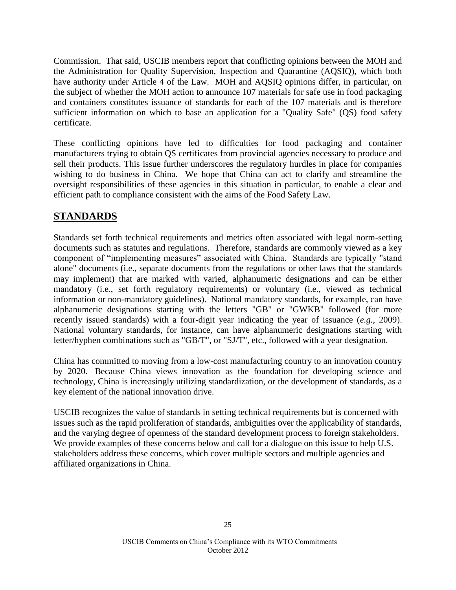Commission. That said, USCIB members report that conflicting opinions between the MOH and the Administration for Quality Supervision, Inspection and Quarantine (AQSIQ), which both have authority under Article 4 of the Law. MOH and AQSIQ opinions differ, in particular, on the subject of whether the MOH action to announce 107 materials for safe use in food packaging and containers constitutes issuance of standards for each of the 107 materials and is therefore sufficient information on which to base an application for a "Quality Safe" (QS) food safety certificate.

These conflicting opinions have led to difficulties for food packaging and container manufacturers trying to obtain QS certificates from provincial agencies necessary to produce and sell their products. This issue further underscores the regulatory hurdles in place for companies wishing to do business in China. We hope that China can act to clarify and streamline the oversight responsibilities of these agencies in this situation in particular, to enable a clear and efficient path to compliance consistent with the aims of the Food Safety Law.

# **STANDARDS**

Standards set forth technical requirements and metrics often associated with legal norm-setting documents such as statutes and regulations. Therefore, standards are commonly viewed as a key component of "implementing measures" associated with China. Standards are typically "stand alone" documents (i.e., separate documents from the regulations or other laws that the standards may implement) that are marked with varied, alphanumeric designations and can be either mandatory (i.e., set forth regulatory requirements) or voluntary (i.e., viewed as technical information or non-mandatory guidelines). National mandatory standards, for example, can have alphanumeric designations starting with the letters "GB" or "GWKB" followed (for more recently issued standards) with a four-digit year indicating the year of issuance (*e.g.*, 2009). National voluntary standards, for instance, can have alphanumeric designations starting with letter/hyphen combinations such as "GB/T", or "SJ/T", etc., followed with a year designation.

China has committed to moving from a low-cost manufacturing country to an innovation country by 2020. Because China views innovation as the foundation for developing science and technology, China is increasingly utilizing standardization, or the development of standards, as a key element of the national innovation drive.

USCIB recognizes the value of standards in setting technical requirements but is concerned with issues such as the rapid proliferation of standards, ambiguities over the applicability of standards, and the varying degree of openness of the standard development process to foreign stakeholders. We provide examples of these concerns below and call for a dialogue on this issue to help U.S. stakeholders address these concerns, which cover multiple sectors and multiple agencies and affiliated organizations in China.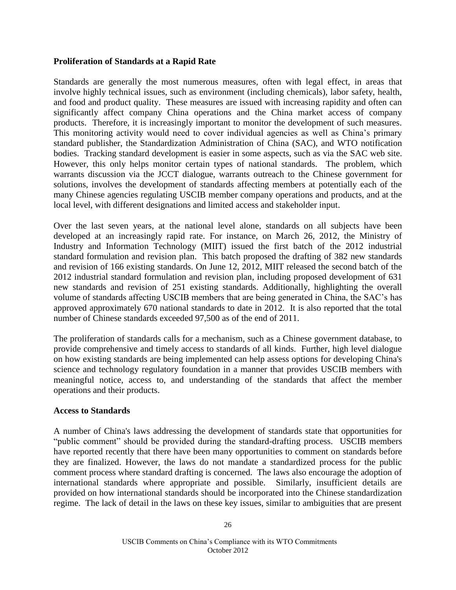### **Proliferation of Standards at a Rapid Rate**

Standards are generally the most numerous measures, often with legal effect, in areas that involve highly technical issues, such as environment (including chemicals), labor safety, health, and food and product quality. These measures are issued with increasing rapidity and often can significantly affect company China operations and the China market access of company products. Therefore, it is increasingly important to monitor the development of such measures. This monitoring activity would need to cover individual agencies as well as China's primary standard publisher, the Standardization Administration of China (SAC), and WTO notification bodies. Tracking standard development is easier in some aspects, such as via the SAC web site. However, this only helps monitor certain types of national standards. The problem, which warrants discussion via the JCCT dialogue, warrants outreach to the Chinese government for solutions, involves the development of standards affecting members at potentially each of the many Chinese agencies regulating USCIB member company operations and products, and at the local level, with different designations and limited access and stakeholder input.

Over the last seven years, at the national level alone, standards on all subjects have been developed at an increasingly rapid rate. For instance, on March 26, 2012, the Ministry of Industry and Information Technology (MIIT) issued the first batch of the 2012 industrial standard formulation and revision plan. This batch proposed the drafting of 382 new standards and revision of 166 existing standards. On June 12, 2012, MIIT released the second batch of the 2012 industrial standard formulation and revision plan, including proposed development of 631 new standards and revision of 251 existing standards. Additionally, highlighting the overall volume of standards affecting USCIB members that are being generated in China, the SAC's has approved approximately 670 national standards to date in 2012. It is also reported that the total number of Chinese standards exceeded 97,500 as of the end of 2011.

The proliferation of standards calls for a mechanism, such as a Chinese government database, to provide comprehensive and timely access to standards of all kinds. Further, high level dialogue on how existing standards are being implemented can help assess options for developing China's science and technology regulatory foundation in a manner that provides USCIB members with meaningful notice, access to, and understanding of the standards that affect the member operations and their products.

### **Access to Standards**

A number of China's laws addressing the development of standards state that opportunities for "public comment" should be provided during the standard-drafting process. USCIB members have reported recently that there have been many opportunities to comment on standards before they are finalized. However, the laws do not mandate a standardized process for the public comment process where standard drafting is concerned. The laws also encourage the adoption of international standards where appropriate and possible. Similarly, insufficient details are provided on how international standards should be incorporated into the Chinese standardization regime. The lack of detail in the laws on these key issues, similar to ambiguities that are present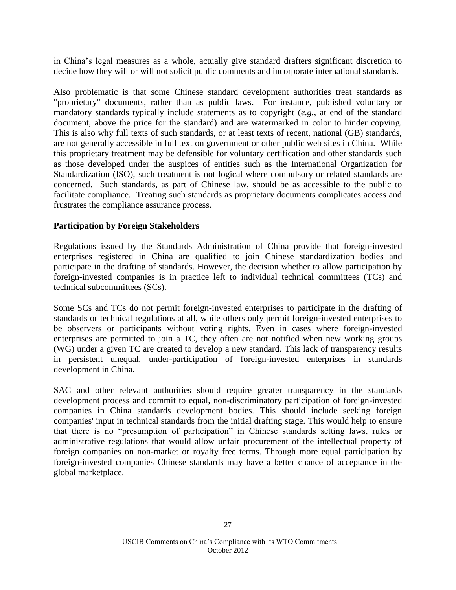in China's legal measures as a whole, actually give standard drafters significant discretion to decide how they will or will not solicit public comments and incorporate international standards.

Also problematic is that some Chinese standard development authorities treat standards as "proprietary" documents, rather than as public laws. For instance, published voluntary or mandatory standards typically include statements as to copyright (*e.g.*, at end of the standard document, above the price for the standard) and are watermarked in color to hinder copying. This is also why full texts of such standards, or at least texts of recent, national (GB) standards, are not generally accessible in full text on government or other public web sites in China. While this proprietary treatment may be defensible for voluntary certification and other standards such as those developed under the auspices of entities such as the International Organization for Standardization (ISO), such treatment is not logical where compulsory or related standards are concerned. Such standards, as part of Chinese law, should be as accessible to the public to facilitate compliance. Treating such standards as proprietary documents complicates access and frustrates the compliance assurance process.

#### **Participation by Foreign Stakeholders**

Regulations issued by the Standards Administration of China provide that foreign-invested enterprises registered in China are qualified to join Chinese standardization bodies and participate in the drafting of standards. However, the decision whether to allow participation by foreign-invested companies is in practice left to individual technical committees (TCs) and technical subcommittees (SCs).

Some SCs and TCs do not permit foreign-invested enterprises to participate in the drafting of standards or technical regulations at all, while others only permit foreign-invested enterprises to be observers or participants without voting rights. Even in cases where foreign-invested enterprises are permitted to join a TC, they often are not notified when new working groups (WG) under a given TC are created to develop a new standard. This lack of transparency results in persistent unequal, under-participation of foreign-invested enterprises in standards development in China.

SAC and other relevant authorities should require greater transparency in the standards development process and commit to equal, non-discriminatory participation of foreign-invested companies in China standards development bodies. This should include seeking foreign companies' input in technical standards from the initial drafting stage. This would help to ensure that there is no "presumption of participation" in Chinese standards setting laws, rules or administrative regulations that would allow unfair procurement of the intellectual property of foreign companies on non-market or royalty free terms. Through more equal participation by foreign-invested companies Chinese standards may have a better chance of acceptance in the global marketplace.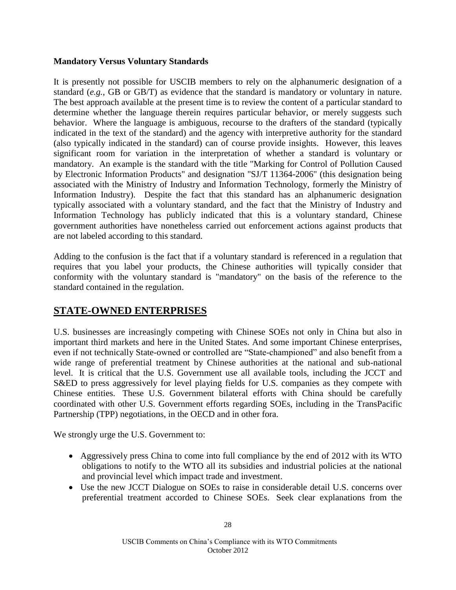### **Mandatory Versus Voluntary Standards**

It is presently not possible for USCIB members to rely on the alphanumeric designation of a standard (*e.g.*, GB or GB/T) as evidence that the standard is mandatory or voluntary in nature. The best approach available at the present time is to review the content of a particular standard to determine whether the language therein requires particular behavior, or merely suggests such behavior. Where the language is ambiguous, recourse to the drafters of the standard (typically indicated in the text of the standard) and the agency with interpretive authority for the standard (also typically indicated in the standard) can of course provide insights. However, this leaves significant room for variation in the interpretation of whether a standard is voluntary or mandatory. An example is the standard with the title "Marking for Control of Pollution Caused by Electronic Information Products" and designation "SJ/T 11364-2006" (this designation being associated with the Ministry of Industry and Information Technology, formerly the Ministry of Information Industry). Despite the fact that this standard has an alphanumeric designation typically associated with a voluntary standard, and the fact that the Ministry of Industry and Information Technology has publicly indicated that this is a voluntary standard, Chinese government authorities have nonetheless carried out enforcement actions against products that are not labeled according to this standard.

Adding to the confusion is the fact that if a voluntary standard is referenced in a regulation that requires that you label your products, the Chinese authorities will typically consider that conformity with the voluntary standard is "mandatory" on the basis of the reference to the standard contained in the regulation.

# **STATE-OWNED ENTERPRISES**

U.S. businesses are increasingly competing with Chinese SOEs not only in China but also in important third markets and here in the United States. And some important Chinese enterprises, even if not technically State-owned or controlled are "State-championed" and also benefit from a wide range of preferential treatment by Chinese authorities at the national and sub-national level. It is critical that the U.S. Government use all available tools, including the JCCT and S&ED to press aggressively for level playing fields for U.S. companies as they compete with Chinese entities. These U.S. Government bilateral efforts with China should be carefully coordinated with other U.S. Government efforts regarding SOEs, including in the TransPacific Partnership (TPP) negotiations, in the OECD and in other fora.

We strongly urge the U.S. Government to:

- Aggressively press China to come into full compliance by the end of 2012 with its WTO obligations to notify to the WTO all its subsidies and industrial policies at the national and provincial level which impact trade and investment.
- Use the new JCCT Dialogue on SOEs to raise in considerable detail U.S. concerns over preferential treatment accorded to Chinese SOEs. Seek clear explanations from the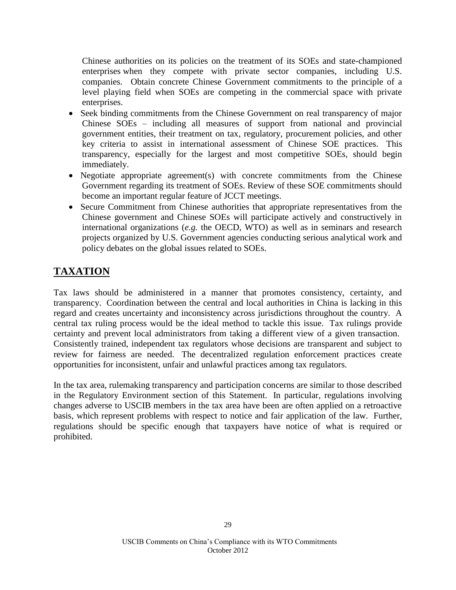Chinese authorities on its policies on the treatment of its SOEs and state-championed enterprises when they compete with private sector companies, including U.S. companies. Obtain concrete Chinese Government commitments to the principle of a level playing field when SOEs are competing in the commercial space with private enterprises.

- Seek binding commitments from the Chinese Government on real transparency of major Chinese SOEs – including all measures of support from national and provincial government entities, their treatment on tax, regulatory, procurement policies, and other key criteria to assist in international assessment of Chinese SOE practices. This transparency, especially for the largest and most competitive SOEs, should begin immediately.
- Negotiate appropriate agreement(s) with concrete commitments from the Chinese Government regarding its treatment of SOEs. Review of these SOE commitments should become an important regular feature of JCCT meetings.
- Secure Commitment from Chinese authorities that appropriate representatives from the Chinese government and Chinese SOEs will participate actively and constructively in international organizations (*e.g.* the OECD, WTO) as well as in seminars and research projects organized by U.S. Government agencies conducting serious analytical work and policy debates on the global issues related to SOEs.

# **TAXATION**

Tax laws should be administered in a manner that promotes consistency, certainty, and transparency. Coordination between the central and local authorities in China is lacking in this regard and creates uncertainty and inconsistency across jurisdictions throughout the country. A central tax ruling process would be the ideal method to tackle this issue. Tax rulings provide certainty and prevent local administrators from taking a different view of a given transaction. Consistently trained, independent tax regulators whose decisions are transparent and subject to review for fairness are needed. The decentralized regulation enforcement practices create opportunities for inconsistent, unfair and unlawful practices among tax regulators.

In the tax area, rulemaking transparency and participation concerns are similar to those described in the Regulatory Environment section of this Statement. In particular, regulations involving changes adverse to USCIB members in the tax area have been are often applied on a retroactive basis, which represent problems with respect to notice and fair application of the law. Further, regulations should be specific enough that taxpayers have notice of what is required or prohibited.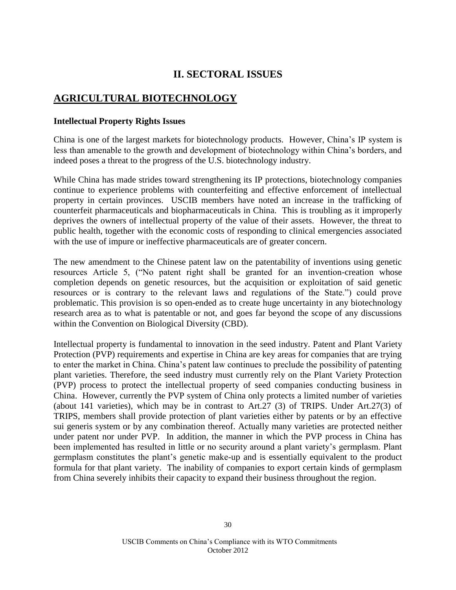# **II. SECTORAL ISSUES**

# **AGRICULTURAL BIOTECHNOLOGY**

#### **Intellectual Property Rights Issues**

China is one of the largest markets for biotechnology products. However, China's IP system is less than amenable to the growth and development of biotechnology within China's borders, and indeed poses a threat to the progress of the U.S. biotechnology industry.

While China has made strides toward strengthening its IP protections, biotechnology companies continue to experience problems with counterfeiting and effective enforcement of intellectual property in certain provinces. USCIB members have noted an increase in the trafficking of counterfeit pharmaceuticals and biopharmaceuticals in China. This is troubling as it improperly deprives the owners of intellectual property of the value of their assets. However, the threat to public health, together with the economic costs of responding to clinical emergencies associated with the use of impure or ineffective pharmaceuticals are of greater concern.

The new amendment to the Chinese patent law on the patentability of inventions using genetic resources Article 5, ("No patent right shall be granted for an invention-creation whose completion depends on genetic resources, but the acquisition or exploitation of said genetic resources or is contrary to the relevant laws and regulations of the State.") could prove problematic. This provision is so open-ended as to create huge uncertainty in any biotechnology research area as to what is patentable or not, and goes far beyond the scope of any discussions within the Convention on Biological Diversity (CBD).

Intellectual property is fundamental to innovation in the seed industry. Patent and Plant Variety Protection (PVP) requirements and expertise in China are key areas for companies that are trying to enter the market in China. China's patent law continues to preclude the possibility of patenting plant varieties. Therefore, the seed industry must currently rely on the Plant Variety Protection (PVP) process to protect the intellectual property of seed companies conducting business in China. However, currently the PVP system of China only protects a limited number of varieties (about 141 varieties), which may be in contrast to Art.27 (3) of TRIPS. Under Art.27(3) of TRIPS, members shall provide protection of plant varieties either by patents or by an effective sui generis system or by any combination thereof. Actually many varieties are protected neither under patent nor under PVP. In addition, the manner in which the PVP process in China has been implemented has resulted in little or no security around a plant variety's germplasm. Plant germplasm constitutes the plant's genetic make-up and is essentially equivalent to the product formula for that plant variety. The inability of companies to export certain kinds of germplasm from China severely inhibits their capacity to expand their business throughout the region.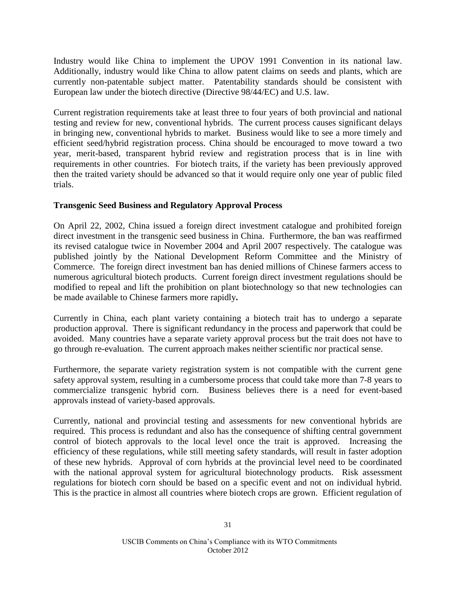Industry would like China to implement the UPOV 1991 Convention in its national law. Additionally, industry would like China to allow patent claims on seeds and plants, which are currently non-patentable subject matter. Patentability standards should be consistent with European law under the biotech directive (Directive 98/44/EC) and U.S. law.

Current registration requirements take at least three to four years of both provincial and national testing and review for new, conventional hybrids. The current process causes significant delays in bringing new, conventional hybrids to market. Business would like to see a more timely and efficient seed/hybrid registration process. China should be encouraged to move toward a two year, merit-based, transparent hybrid review and registration process that is in line with requirements in other countries. For biotech traits, if the variety has been previously approved then the traited variety should be advanced so that it would require only one year of public filed trials.

### **Transgenic Seed Business and Regulatory Approval Process**

On April 22, 2002, China issued a foreign direct investment catalogue and prohibited foreign direct investment in the transgenic seed business in China. Furthermore, the ban was reaffirmed its revised catalogue twice in November 2004 and April 2007 respectively. The catalogue was published jointly by the National Development Reform Committee and the Ministry of Commerce. The foreign direct investment ban has denied millions of Chinese farmers access to numerous agricultural biotech products. Current foreign direct investment regulations should be modified to repeal and lift the prohibition on plant biotechnology so that new technologies can be made available to Chinese farmers more rapidly**.**

Currently in China, each plant variety containing a biotech trait has to undergo a separate production approval. There is significant redundancy in the process and paperwork that could be avoided. Many countries have a separate variety approval process but the trait does not have to go through re-evaluation. The current approach makes neither scientific nor practical sense.

Furthermore, the separate variety registration system is not compatible with the current gene safety approval system, resulting in a cumbersome process that could take more than 7-8 years to commercialize transgenic hybrid corn. Business believes there is a need for event-based approvals instead of variety-based approvals.

Currently, national and provincial testing and assessments for new conventional hybrids are required. This process is redundant and also has the consequence of shifting central government control of biotech approvals to the local level once the trait is approved. Increasing the efficiency of these regulations, while still meeting safety standards, will result in faster adoption of these new hybrids. Approval of corn hybrids at the provincial level need to be coordinated with the national approval system for agricultural biotechnology products.Risk assessment regulations for biotech corn should be based on a specific event and not on individual hybrid. This is the practice in almost all countries where biotech crops are grown. Efficient regulation of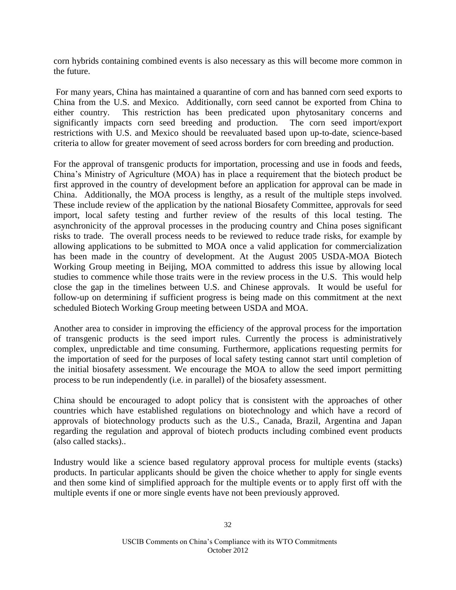corn hybrids containing combined events is also necessary as this will become more common in the future.

For many years, China has maintained a quarantine of corn and has banned corn seed exports to China from the U.S. and Mexico. Additionally, corn seed cannot be exported from China to either country. This restriction has been predicated upon phytosanitary concerns and significantly impacts corn seed breeding and production. The corn seed import/export restrictions with U.S. and Mexico should be reevaluated based upon up-to-date, science-based criteria to allow for greater movement of seed across borders for corn breeding and production.

For the approval of transgenic products for importation, processing and use in foods and feeds, China's Ministry of Agriculture (MOA) has in place a requirement that the biotech product be first approved in the country of development before an application for approval can be made in China. Additionally, the MOA process is lengthy, as a result of the multiple steps involved. These include review of the application by the national Biosafety Committee, approvals for seed import, local safety testing and further review of the results of this local testing. The asynchronicity of the approval processes in the producing country and China poses significant risks to trade. The overall process needs to be reviewed to reduce trade risks, for example by allowing applications to be submitted to MOA once a valid application for commercialization has been made in the country of development. At the August 2005 USDA-MOA Biotech Working Group meeting in Beijing, MOA committed to address this issue by allowing local studies to commence while those traits were in the review process in the U.S. This would help close the gap in the timelines between U.S. and Chinese approvals. It would be useful for follow-up on determining if sufficient progress is being made on this commitment at the next scheduled Biotech Working Group meeting between USDA and MOA.

Another area to consider in improving the efficiency of the approval process for the importation of transgenic products is the seed import rules. Currently the process is administratively complex, unpredictable and time consuming. Furthermore, applications requesting permits for the importation of seed for the purposes of local safety testing cannot start until completion of the initial biosafety assessment. We encourage the MOA to allow the seed import permitting process to be run independently (i.e. in parallel) of the biosafety assessment.

China should be encouraged to adopt policy that is consistent with the approaches of other countries which have established regulations on biotechnology and which have a record of approvals of biotechnology products such as the U.S., Canada, Brazil, Argentina and Japan regarding the regulation and approval of biotech products including combined event products (also called stacks)..

Industry would like a science based regulatory approval process for multiple events (stacks) products. In particular applicants should be given the choice whether to apply for single events and then some kind of simplified approach for the multiple events or to apply first off with the multiple events if one or more single events have not been previously approved.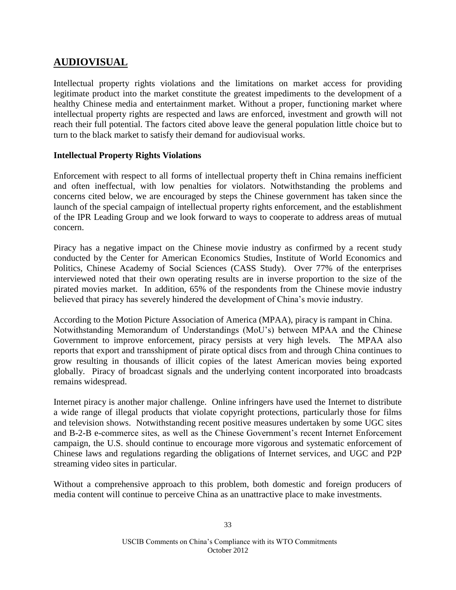# **AUDIOVISUAL**

Intellectual property rights violations and the limitations on market access for providing legitimate product into the market constitute the greatest impediments to the development of a healthy Chinese media and entertainment market. Without a proper, functioning market where intellectual property rights are respected and laws are enforced, investment and growth will not reach their full potential. The factors cited above leave the general population little choice but to turn to the black market to satisfy their demand for audiovisual works.

### **Intellectual Property Rights Violations**

Enforcement with respect to all forms of intellectual property theft in China remains inefficient and often ineffectual, with low penalties for violators. Notwithstanding the problems and concerns cited below, we are encouraged by steps the Chinese government has taken since the launch of the special campaign of intellectual property rights enforcement, and the establishment of the IPR Leading Group and we look forward to ways to cooperate to address areas of mutual concern.

Piracy has a negative impact on the Chinese movie industry as confirmed by a recent study conducted by the Center for American Economics Studies, Institute of World Economics and Politics, Chinese Academy of Social Sciences (CASS Study). Over 77% of the enterprises interviewed noted that their own operating results are in inverse proportion to the size of the pirated movies market. In addition, 65% of the respondents from the Chinese movie industry believed that piracy has severely hindered the development of China's movie industry.

According to the Motion Picture Association of America (MPAA), piracy is rampant in China. Notwithstanding Memorandum of Understandings (MoU's) between MPAA and the Chinese Government to improve enforcement, piracy persists at very high levels. The MPAA also reports that export and transshipment of pirate optical discs from and through China continues to grow resulting in thousands of illicit copies of the latest American movies being exported globally. Piracy of broadcast signals and the underlying content incorporated into broadcasts remains widespread.

Internet piracy is another major challenge. Online infringers have used the Internet to distribute a wide range of illegal products that violate copyright protections, particularly those for films and television shows. Notwithstanding recent positive measures undertaken by some UGC sites and B-2-B e-commerce sites, as well as the Chinese Government's recent Internet Enforcement campaign, the U.S. should continue to encourage more vigorous and systematic enforcement of Chinese laws and regulations regarding the obligations of Internet services, and UGC and P2P streaming video sites in particular.

Without a comprehensive approach to this problem, both domestic and foreign producers of media content will continue to perceive China as an unattractive place to make investments.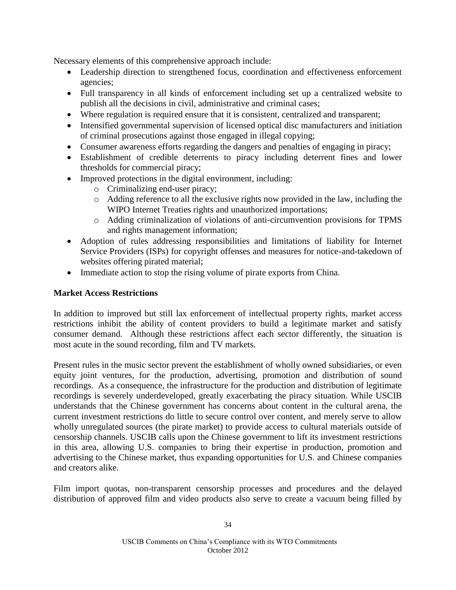Necessary elements of this comprehensive approach include:

- Leadership direction to strengthened focus, coordination and effectiveness enforcement agencies;
- Full transparency in all kinds of enforcement including set up a centralized website to publish all the decisions in civil, administrative and criminal cases;
- Where regulation is required ensure that it is consistent, centralized and transparent;
- Intensified governmental supervision of licensed optical disc manufacturers and initiation of criminal prosecutions against those engaged in illegal copying;
- Consumer awareness efforts regarding the dangers and penalties of engaging in piracy;
- Establishment of credible deterrents to piracy including deterrent fines and lower thresholds for commercial piracy;
- Improved protections in the digital environment, including:
	- o Criminalizing end-user piracy;
	- o Adding reference to all the exclusive rights now provided in the law, including the WIPO Internet Treaties rights and unauthorized importations;
	- o Adding criminalization of violations of anti-circumvention provisions for TPMS and rights management information;
- Adoption of rules addressing responsibilities and limitations of liability for Internet Service Providers (ISPs) for copyright offenses and measures for notice-and-takedown of websites offering pirated material;
- Immediate action to stop the rising volume of pirate exports from China.

### **Market Access Restrictions**

In addition to improved but still lax enforcement of intellectual property rights, market access restrictions inhibit the ability of content providers to build a legitimate market and satisfy consumer demand. Although these restrictions affect each sector differently, the situation is most acute in the sound recording, film and TV markets.

Present rules in the music sector prevent the establishment of wholly owned subsidiaries, or even equity joint ventures, for the production, advertising, promotion and distribution of sound recordings. As a consequence, the infrastructure for the production and distribution of legitimate recordings is severely underdeveloped, greatly exacerbating the piracy situation. While USCIB understands that the Chinese government has concerns about content in the cultural arena, the current investment restrictions do little to secure control over content, and merely serve to allow wholly unregulated sources (the pirate market) to provide access to cultural materials outside of censorship channels. USCIB calls upon the Chinese government to lift its investment restrictions in this area, allowing U.S. companies to bring their expertise in production, promotion and advertising to the Chinese market, thus expanding opportunities for U.S. and Chinese companies and creators alike.

Film import quotas, non-transparent censorship processes and procedures and the delayed distribution of approved film and video products also serve to create a vacuum being filled by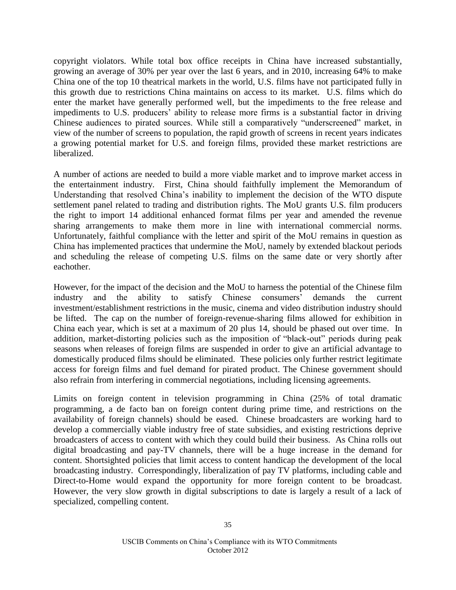copyright violators. While total box office receipts in China have increased substantially, growing an average of 30% per year over the last 6 years, and in 2010, increasing 64% to make China one of the top 10 theatrical markets in the world, U.S. films have not participated fully in this growth due to restrictions China maintains on access to its market. U.S. films which do enter the market have generally performed well, but the impediments to the free release and impediments to U.S. producers' ability to release more firms is a substantial factor in driving Chinese audiences to pirated sources. While still a comparatively "underscreened" market, in view of the number of screens to population, the rapid growth of screens in recent years indicates a growing potential market for U.S. and foreign films, provided these market restrictions are liberalized.

A number of actions are needed to build a more viable market and to improve market access in the entertainment industry. First, China should faithfully implement the Memorandum of Understanding that resolved China's inability to implement the decision of the WTO dispute settlement panel related to trading and distribution rights. The MoU grants U.S. film producers the right to import 14 additional enhanced format films per year and amended the revenue sharing arrangements to make them more in line with international commercial norms. Unfortunately, faithful compliance with the letter and spirit of the MoU remains in question as China has implemented practices that undermine the MoU, namely by extended blackout periods and scheduling the release of competing U.S. films on the same date or very shortly after eachother.

However, for the impact of the decision and the MoU to harness the potential of the Chinese film industry and the ability to satisfy Chinese consumers' demands the current investment/establishment restrictions in the music, cinema and video distribution industry should be lifted. The cap on the number of foreign-revenue-sharing films allowed for exhibition in China each year, which is set at a maximum of 20 plus 14, should be phased out over time. In addition, market-distorting policies such as the imposition of "black-out" periods during peak seasons when releases of foreign films are suspended in order to give an artificial advantage to domestically produced films should be eliminated. These policies only further restrict legitimate access for foreign films and fuel demand for pirated product. The Chinese government should also refrain from interfering in commercial negotiations, including licensing agreements.

Limits on foreign content in television programming in China (25% of total dramatic programming, a de facto ban on foreign content during prime time, and restrictions on the availability of foreign channels) should be eased. Chinese broadcasters are working hard to develop a commercially viable industry free of state subsidies, and existing restrictions deprive broadcasters of access to content with which they could build their business. As China rolls out digital broadcasting and pay-TV channels, there will be a huge increase in the demand for content. Shortsighted policies that limit access to content handicap the development of the local broadcasting industry. Correspondingly, liberalization of pay TV platforms, including cable and Direct-to-Home would expand the opportunity for more foreign content to be broadcast. However, the very slow growth in digital subscriptions to date is largely a result of a lack of specialized, compelling content.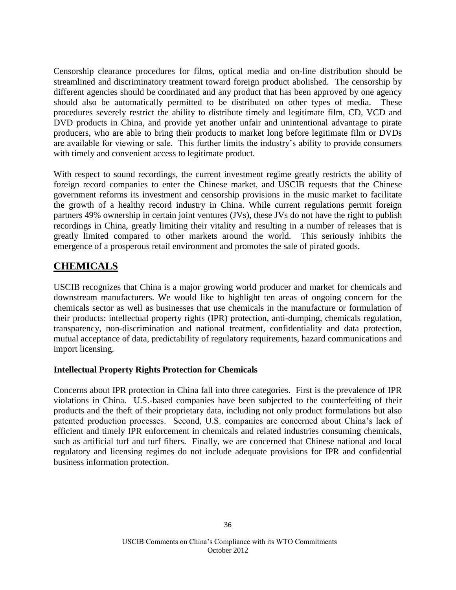Censorship clearance procedures for films, optical media and on-line distribution should be streamlined and discriminatory treatment toward foreign product abolished. The censorship by different agencies should be coordinated and any product that has been approved by one agency should also be automatically permitted to be distributed on other types of media. These procedures severely restrict the ability to distribute timely and legitimate film, CD, VCD and DVD products in China, and provide yet another unfair and unintentional advantage to pirate producers, who are able to bring their products to market long before legitimate film or DVDs are available for viewing or sale. This further limits the industry's ability to provide consumers with timely and convenient access to legitimate product.

With respect to sound recordings, the current investment regime greatly restricts the ability of foreign record companies to enter the Chinese market, and USCIB requests that the Chinese government reforms its investment and censorship provisions in the music market to facilitate the growth of a healthy record industry in China. While current regulations permit foreign partners 49% ownership in certain joint ventures (JVs), these JVs do not have the right to publish recordings in China, greatly limiting their vitality and resulting in a number of releases that is greatly limited compared to other markets around the world. This seriously inhibits the emergence of a prosperous retail environment and promotes the sale of pirated goods.

# **CHEMICALS**

USCIB recognizes that China is a major growing world producer and market for chemicals and downstream manufacturers. We would like to highlight ten areas of ongoing concern for the chemicals sector as well as businesses that use chemicals in the manufacture or formulation of their products: intellectual property rights (IPR) protection, anti-dumping, chemicals regulation, transparency, non-discrimination and national treatment, confidentiality and data protection, mutual acceptance of data, predictability of regulatory requirements, hazard communications and import licensing.

### **Intellectual Property Rights Protection for Chemicals**

Concerns about IPR protection in China fall into three categories. First is the prevalence of IPR violations in China. U.S.-based companies have been subjected to the counterfeiting of their products and the theft of their proprietary data, including not only product formulations but also patented production processes. Second, U.S. companies are concerned about China's lack of efficient and timely IPR enforcement in chemicals and related industries consuming chemicals, such as artificial turf and turf fibers. Finally, we are concerned that Chinese national and local regulatory and licensing regimes do not include adequate provisions for IPR and confidential business information protection.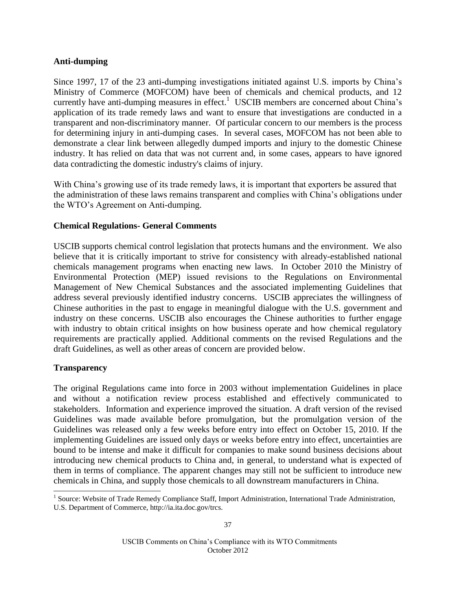### **Anti-dumping**

Since 1997, 17 of the 23 anti-dumping investigations initiated against U.S. imports by China's Ministry of Commerce (MOFCOM) have been of chemicals and chemical products, and 12 currently have anti-dumping measures in effect.<sup>1</sup> USCIB members are concerned about China's application of its trade remedy laws and want to ensure that investigations are conducted in a transparent and non-discriminatory manner. Of particular concern to our members is the process for determining injury in anti-dumping cases. In several cases, MOFCOM has not been able to demonstrate a clear link between allegedly dumped imports and injury to the domestic Chinese industry. It has relied on data that was not current and, in some cases, appears to have ignored data contradicting the domestic industry's claims of injury.

With China's growing use of its trade remedy laws, it is important that exporters be assured that the administration of these laws remains transparent and complies with China's obligations under the WTO's Agreement on Anti-dumping.

### **Chemical Regulations- General Comments**

USCIB supports chemical control legislation that protects humans and the environment. We also believe that it is critically important to strive for consistency with already-established national chemicals management programs when enacting new laws. In October 2010 the Ministry of Environmental Protection (MEP) issued revisions to the Regulations on Environmental Management of New Chemical Substances and the associated implementing Guidelines that address several previously identified industry concerns. USCIB appreciates the willingness of Chinese authorities in the past to engage in meaningful dialogue with the U.S. government and industry on these concerns. USCIB also encourages the Chinese authorities to further engage with industry to obtain critical insights on how business operate and how chemical regulatory requirements are practically applied. Additional comments on the revised Regulations and the draft Guidelines, as well as other areas of concern are provided below.

### **Transparency**

 $\overline{a}$ 

The original Regulations came into force in 2003 without implementation Guidelines in place and without a notification review process established and effectively communicated to stakeholders. Information and experience improved the situation. A draft version of the revised Guidelines was made available before promulgation, but the promulgation version of the Guidelines was released only a few weeks before entry into effect on October 15, 2010. If the implementing Guidelines are issued only days or weeks before entry into effect, uncertainties are bound to be intense and make it difficult for companies to make sound business decisions about introducing new chemical products to China and, in general, to understand what is expected of them in terms of compliance. The apparent changes may still not be sufficient to introduce new chemicals in China, and supply those chemicals to all downstream manufacturers in China.

<sup>&</sup>lt;sup>1</sup> Source: Website of Trade Remedy Compliance Staff, Import Administration, International Trade Administration, U.S. Department of Commerce, http://ia.ita.doc.gov/trcs.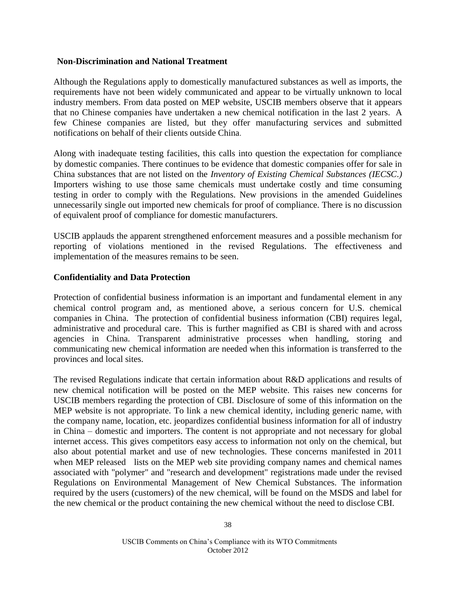#### **Non-Discrimination and National Treatment**

Although the Regulations apply to domestically manufactured substances as well as imports, the requirements have not been widely communicated and appear to be virtually unknown to local industry members. From data posted on MEP website, USCIB members observe that it appears that no Chinese companies have undertaken a new chemical notification in the last 2 years. A few Chinese companies are listed, but they offer manufacturing services and submitted notifications on behalf of their clients outside China.

Along with inadequate testing facilities, this calls into question the expectation for compliance by domestic companies. There continues to be evidence that domestic companies offer for sale in China substances that are not listed on the *Inventory of Existing Chemical Substances (IECSC.)* Importers wishing to use those same chemicals must undertake costly and time consuming testing in order to comply with the Regulations. New provisions in the amended Guidelines unnecessarily single out imported new chemicals for proof of compliance. There is no discussion of equivalent proof of compliance for domestic manufacturers.

USCIB applauds the apparent strengthened enforcement measures and a possible mechanism for reporting of violations mentioned in the revised Regulations. The effectiveness and implementation of the measures remains to be seen.

#### **Confidentiality and Data Protection**

Protection of confidential business information is an important and fundamental element in any chemical control program and, as mentioned above, a serious concern for U.S. chemical companies in China. The protection of confidential business information (CBI) requires legal, administrative and procedural care. This is further magnified as CBI is shared with and across agencies in China. Transparent administrative processes when handling, storing and communicating new chemical information are needed when this information is transferred to the provinces and local sites.

The revised Regulations indicate that certain information about R&D applications and results of new chemical notification will be posted on the MEP website. This raises new concerns for USCIB members regarding the protection of CBI. Disclosure of some of this information on the MEP website is not appropriate. To link a new chemical identity, including generic name, with the company name, location, etc. jeopardizes confidential business information for all of industry in China – domestic and importers. The content is not appropriate and not necessary for global internet access. This gives competitors easy access to information not only on the chemical, but also about potential market and use of new technologies. These concerns manifested in 2011 when MEP released lists on the MEP web site providing company names and chemical names associated with "polymer" and "research and development" registrations made under the revised Regulations on Environmental Management of New Chemical Substances. The information required by the users (customers) of the new chemical, will be found on the MSDS and label for the new chemical or the product containing the new chemical without the need to disclose CBI.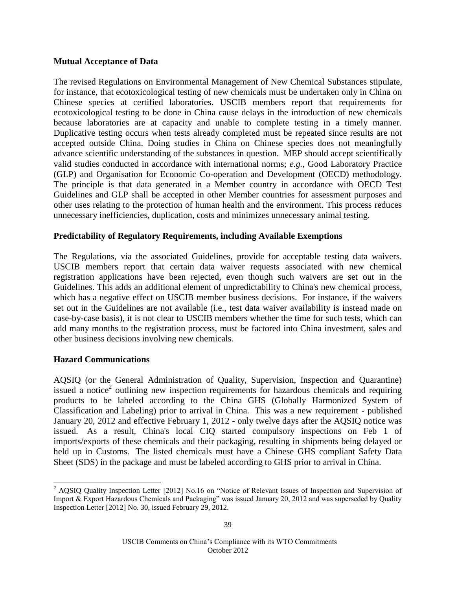### **Mutual Acceptance of Data**

The revised Regulations on Environmental Management of New Chemical Substances stipulate, for instance, that ecotoxicological testing of new chemicals must be undertaken only in China on Chinese species at certified laboratories. USCIB members report that requirements for ecotoxicological testing to be done in China cause delays in the introduction of new chemicals because laboratories are at capacity and unable to complete testing in a timely manner. Duplicative testing occurs when tests already completed must be repeated since results are not accepted outside China. Doing studies in China on Chinese species does not meaningfully advance scientific understanding of the substances in question. MEP should accept scientifically valid studies conducted in accordance with international norms; *e.g.*, Good Laboratory Practice (GLP) and Organisation for Economic Co-operation and Development (OECD) methodology. The principle is that data generated in a Member country in accordance with OECD Test Guidelines and GLP shall be accepted in other Member countries for assessment purposes and other uses relating to the protection of human health and the environment. This process reduces unnecessary inefficiencies, duplication, costs and minimizes unnecessary animal testing.

### **Predictability of Regulatory Requirements, including Available Exemptions**

The Regulations, via the associated Guidelines, provide for acceptable testing data waivers. USCIB members report that certain data waiver requests associated with new chemical registration applications have been rejected, even though such waivers are set out in the Guidelines. This adds an additional element of unpredictability to China's new chemical process, which has a negative effect on USCIB member business decisions. For instance, if the waivers set out in the Guidelines are not available (i.e., test data waiver availability is instead made on case-by-case basis), it is not clear to USCIB members whether the time for such tests, which can add many months to the registration process, must be factored into China investment, sales and other business decisions involving new chemicals.

### **Hazard Communications**

l

AQSIQ (or the General Administration of Quality, Supervision, Inspection and Quarantine) issued a notice<sup>2</sup> outlining new inspection requirements for hazardous chemicals and requiring products to be labeled according to the China GHS (Globally Harmonized System of Classification and Labeling) prior to arrival in China. This was a new requirement - published January 20, 2012 and effective February 1, 2012 - only twelve days after the AQSIQ notice was issued. As a result, China's local CIQ started compulsory inspections on Feb 1 of imports/exports of these chemicals and their packaging, resulting in shipments being delayed or held up in Customs. The listed chemicals must have a Chinese GHS compliant Safety Data Sheet (SDS) in the package and must be labeled according to GHS prior to arrival in China.

 $2$  AQSIQ Quality Inspection Letter [2012] No.16 on "Notice of Relevant Issues of Inspection and Supervision of Import & Export Hazardous Chemicals and Packaging" was issued January 20, 2012 and was superseded by Quality Inspection Letter [2012] No. 30, issued February 29, 2012.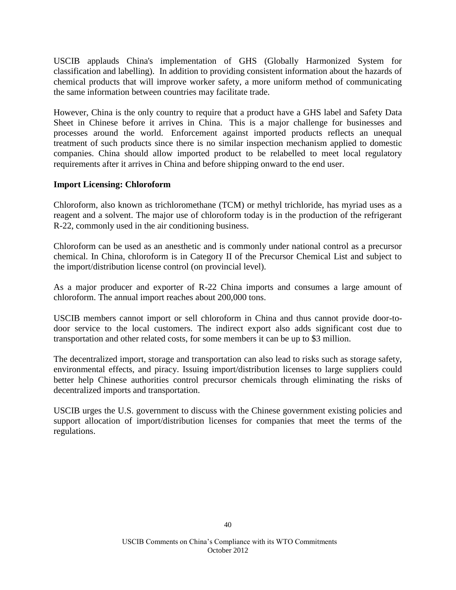USCIB applauds China's implementation of GHS (Globally Harmonized System for classification and labelling). In addition to providing consistent information about the hazards of chemical products that will improve worker safety, a more uniform method of communicating the same information between countries may facilitate trade.

However, China is the only country to require that a product have a GHS label and Safety Data Sheet in Chinese before it arrives in China. This is a major challenge for businesses and processes around the world. Enforcement against imported products reflects an unequal treatment of such products since there is no similar inspection mechanism applied to domestic companies. China should allow imported product to be relabelled to meet local regulatory requirements after it arrives in China and before shipping onward to the end user.

### **Import Licensing: Chloroform**

Chloroform, also known as trichloromethane (TCM) or methyl trichloride, has myriad uses as a reagent and a solvent. The major use of chloroform today is in the production of the refrigerant R-22, commonly used in the air conditioning business.

Chloroform can be used as an anesthetic and is commonly under national control as a precursor chemical. In China, chloroform is in Category II of the Precursor Chemical List and subject to the import/distribution license control (on provincial level).

As a major producer and exporter of R-22 China imports and consumes a large amount of chloroform. The annual import reaches about 200,000 tons.

USCIB members cannot import or sell chloroform in China and thus cannot provide door-todoor service to the local customers. The indirect export also adds significant cost due to transportation and other related costs, for some members it can be up to \$3 million.

The decentralized import, storage and transportation can also lead to risks such as storage safety, environmental effects, and piracy. Issuing import/distribution licenses to large suppliers could better help Chinese authorities control precursor chemicals through eliminating the risks of decentralized imports and transportation.

USCIB urges the U.S. government to discuss with the Chinese government existing policies and support allocation of import/distribution licenses for companies that meet the terms of the regulations.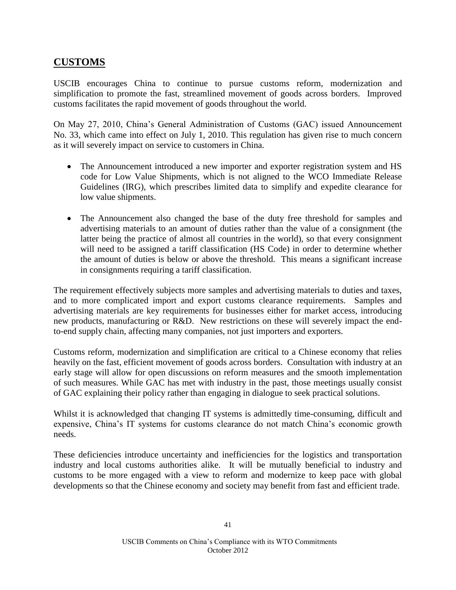# **CUSTOMS**

USCIB encourages China to continue to pursue customs reform, modernization and simplification to promote the fast, streamlined movement of goods across borders. Improved customs facilitates the rapid movement of goods throughout the world.

On May 27, 2010, China's General Administration of Customs (GAC) issued Announcement No. 33, which came into effect on July 1, 2010. This regulation has given rise to much concern as it will severely impact on service to customers in China.

- The Announcement introduced a new importer and exporter registration system and HS code for Low Value Shipments, which is not aligned to the WCO Immediate Release Guidelines (IRG), which prescribes limited data to simplify and expedite clearance for low value shipments.
- The Announcement also changed the base of the duty free threshold for samples and advertising materials to an amount of duties rather than the value of a consignment (the latter being the practice of almost all countries in the world), so that every consignment will need to be assigned a tariff classification (HS Code) in order to determine whether the amount of duties is below or above the threshold. This means a significant increase in consignments requiring a tariff classification.

The requirement effectively subjects more samples and advertising materials to duties and taxes, and to more complicated import and export customs clearance requirements. Samples and advertising materials are key requirements for businesses either for market access, introducing new products, manufacturing or R&D. New restrictions on these will severely impact the endto-end supply chain, affecting many companies, not just importers and exporters.

Customs reform, modernization and simplification are critical to a Chinese economy that relies heavily on the fast, efficient movement of goods across borders. Consultation with industry at an early stage will allow for open discussions on reform measures and the smooth implementation of such measures. While GAC has met with industry in the past, those meetings usually consist of GAC explaining their policy rather than engaging in dialogue to seek practical solutions.

Whilst it is acknowledged that changing IT systems is admittedly time-consuming, difficult and expensive, China's IT systems for customs clearance do not match China's economic growth needs.

These deficiencies introduce uncertainty and inefficiencies for the logistics and transportation industry and local customs authorities alike. It will be mutually beneficial to industry and customs to be more engaged with a view to reform and modernize to keep pace with global developments so that the Chinese economy and society may benefit from fast and efficient trade.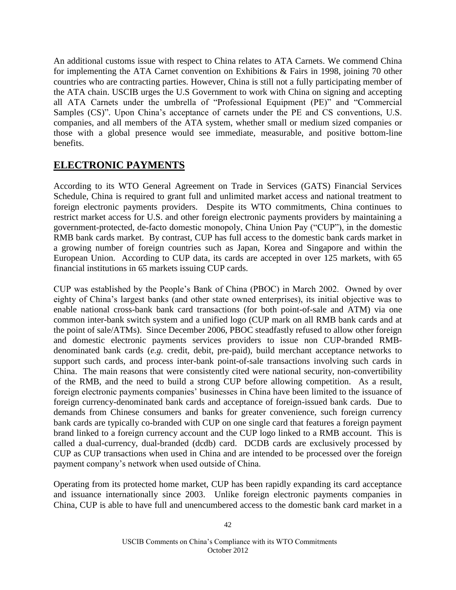An additional customs issue with respect to China relates to ATA Carnets. We commend China for implementing the ATA Carnet convention on Exhibitions & Fairs in 1998, joining 70 other countries who are contracting parties. However, China is still not a fully participating member of the ATA chain. USCIB urges the U.S Government to work with China on signing and accepting all ATA Carnets under the umbrella of "Professional Equipment (PE)" and "Commercial Samples (CS)". Upon China's acceptance of carnets under the PE and CS conventions, U.S. companies, and all members of the ATA system, whether small or medium sized companies or those with a global presence would see immediate, measurable, and positive bottom-line benefits.

# **ELECTRONIC PAYMENTS**

According to its WTO General Agreement on Trade in Services (GATS) Financial Services Schedule, China is required to grant full and unlimited market access and national treatment to foreign electronic payments providers. Despite its WTO commitments, China continues to restrict market access for U.S. and other foreign electronic payments providers by maintaining a government-protected, de-facto domestic monopoly, China Union Pay ("CUP"), in the domestic RMB bank cards market. By contrast, CUP has full access to the domestic bank cards market in a growing number of foreign countries such as Japan, Korea and Singapore and within the European Union. According to CUP data, its cards are accepted in over 125 markets, with 65 financial institutions in 65 markets issuing CUP cards.

CUP was established by the People's Bank of China (PBOC) in March 2002. Owned by over eighty of China's largest banks (and other state owned enterprises), its initial objective was to enable national cross-bank bank card transactions (for both point-of-sale and ATM) via one common inter-bank switch system and a unified logo (CUP mark on all RMB bank cards and at the point of sale/ATMs). Since December 2006, PBOC steadfastly refused to allow other foreign and domestic electronic payments services providers to issue non CUP-branded RMBdenominated bank cards (*e.g.* credit, debit, pre-paid), build merchant acceptance networks to support such cards, and process inter-bank point-of-sale transactions involving such cards in China. The main reasons that were consistently cited were national security, non-convertibility of the RMB, and the need to build a strong CUP before allowing competition. As a result, foreign electronic payments companies' businesses in China have been limited to the issuance of foreign currency-denominated bank cards and acceptance of foreign-issued bank cards. Due to demands from Chinese consumers and banks for greater convenience, such foreign currency bank cards are typically co-branded with CUP on one single card that features a foreign payment brand linked to a foreign currency account and the CUP logo linked to a RMB account. This is called a dual-currency, dual-branded (dcdb) card. DCDB cards are exclusively processed by CUP as CUP transactions when used in China and are intended to be processed over the foreign payment company's network when used outside of China.

Operating from its protected home market, CUP has been rapidly expanding its card acceptance and issuance internationally since 2003. Unlike foreign electronic payments companies in China, CUP is able to have full and unencumbered access to the domestic bank card market in a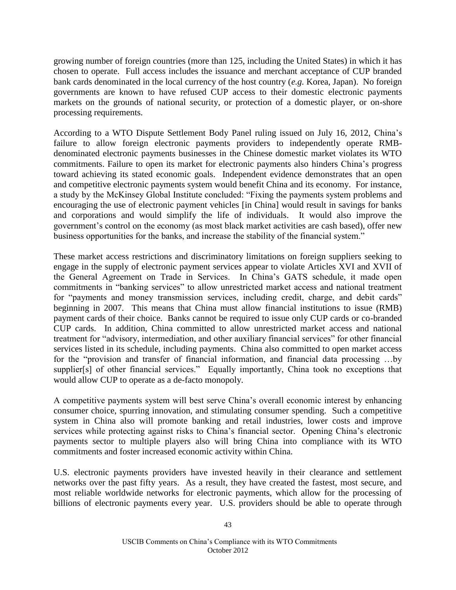growing number of foreign countries (more than 125, including the United States) in which it has chosen to operate. Full access includes the issuance and merchant acceptance of CUP branded bank cards denominated in the local currency of the host country (*e.g.* Korea, Japan). No foreign governments are known to have refused CUP access to their domestic electronic payments markets on the grounds of national security, or protection of a domestic player, or on-shore processing requirements.

According to a WTO Dispute Settlement Body Panel ruling issued on July 16, 2012, China's failure to allow foreign electronic payments providers to independently operate RMBdenominated electronic payments businesses in the Chinese domestic market violates its WTO commitments. Failure to open its market for electronic payments also hinders China's progress toward achieving its stated economic goals. Independent evidence demonstrates that an open and competitive electronic payments system would benefit China and its economy. For instance, a study by the McKinsey Global Institute concluded: "Fixing the payments system problems and encouraging the use of electronic payment vehicles [in China] would result in savings for banks and corporations and would simplify the life of individuals. It would also improve the government's control on the economy (as most black market activities are cash based), offer new business opportunities for the banks, and increase the stability of the financial system."

These market access restrictions and discriminatory limitations on foreign suppliers seeking to engage in the supply of electronic payment services appear to violate Articles XVI and XVII of the General Agreement on Trade in Services. In China's GATS schedule, it made open commitments in "banking services" to allow unrestricted market access and national treatment for "payments and money transmission services, including credit, charge, and debit cards" beginning in 2007. This means that China must allow financial institutions to issue (RMB) payment cards of their choice. Banks cannot be required to issue only CUP cards or co-branded CUP cards. In addition, China committed to allow unrestricted market access and national treatment for "advisory, intermediation, and other auxiliary financial services" for other financial services listed in its schedule, including payments. China also committed to open market access for the "provision and transfer of financial information, and financial data processing …by supplier[s] of other financial services." Equally importantly, China took no exceptions that would allow CUP to operate as a de-facto monopoly.

A competitive payments system will best serve China's overall economic interest by enhancing consumer choice, spurring innovation, and stimulating consumer spending. Such a competitive system in China also will promote banking and retail industries, lower costs and improve services while protecting against risks to China's financial sector. Opening China's electronic payments sector to multiple players also will bring China into compliance with its WTO commitments and foster increased economic activity within China.

U.S. electronic payments providers have invested heavily in their clearance and settlement networks over the past fifty years. As a result, they have created the fastest, most secure, and most reliable worldwide networks for electronic payments, which allow for the processing of billions of electronic payments every year. U.S. providers should be able to operate through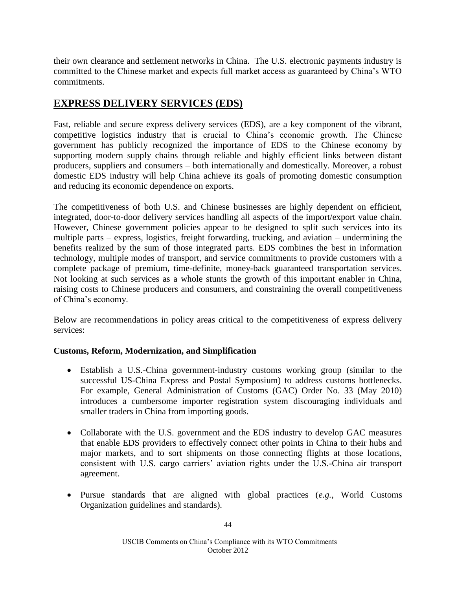their own clearance and settlement networks in China. The U.S. electronic payments industry is committed to the Chinese market and expects full market access as guaranteed by China's WTO commitments.

# **EXPRESS DELIVERY SERVICES (EDS)**

Fast, reliable and secure express delivery services (EDS), are a key component of the vibrant, competitive logistics industry that is crucial to China's economic growth. The Chinese government has publicly recognized the importance of EDS to the Chinese economy by supporting modern supply chains through reliable and highly efficient links between distant producers, suppliers and consumers – both internationally and domestically. Moreover, a robust domestic EDS industry will help China achieve its goals of promoting domestic consumption and reducing its economic dependence on exports.

The competitiveness of both U.S. and Chinese businesses are highly dependent on efficient, integrated, door-to-door delivery services handling all aspects of the import/export value chain. However, Chinese government policies appear to be designed to split such services into its multiple parts – express, logistics, freight forwarding, trucking, and aviation – undermining the benefits realized by the sum of those integrated parts. EDS combines the best in information technology, multiple modes of transport, and service commitments to provide customers with a complete package of premium, time-definite, money-back guaranteed transportation services. Not looking at such services as a whole stunts the growth of this important enabler in China, raising costs to Chinese producers and consumers, and constraining the overall competitiveness of China's economy.

Below are recommendations in policy areas critical to the competitiveness of express delivery services:

### **Customs, Reform, Modernization, and Simplification**

- Establish a U.S.-China government-industry customs working group (similar to the successful US-China Express and Postal Symposium) to address customs bottlenecks. For example, General Administration of Customs (GAC) Order No. 33 (May 2010) introduces a cumbersome importer registration system discouraging individuals and smaller traders in China from importing goods.
- Collaborate with the U.S. government and the EDS industry to develop GAC measures that enable EDS providers to effectively connect other points in China to their hubs and major markets, and to sort shipments on those connecting flights at those locations, consistent with U.S. cargo carriers' aviation rights under the U.S.-China air transport agreement.
- Pursue standards that are aligned with global practices (*e.g.*, World Customs Organization guidelines and standards).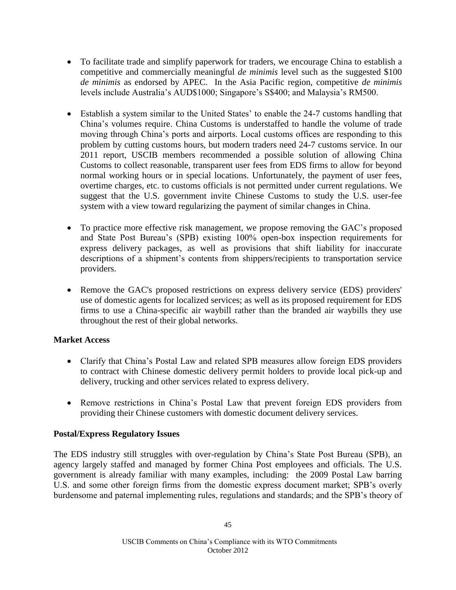- To facilitate trade and simplify paperwork for traders, we encourage China to establish a competitive and commercially meaningful *de minimis* level such as the suggested \$100 *de minimis* as endorsed by APEC. In the Asia Pacific region, competitive *de minimis* levels include Australia's AUD\$1000; Singapore's S\$400; and Malaysia's RM500.
- Establish a system similar to the United States' to enable the 24-7 customs handling that China's volumes require. China Customs is understaffed to handle the volume of trade moving through China's ports and airports. Local customs offices are responding to this problem by cutting customs hours, but modern traders need 24-7 customs service. In our 2011 report, USCIB members recommended a possible solution of allowing China Customs to collect reasonable, transparent user fees from EDS firms to allow for beyond normal working hours or in special locations. Unfortunately, the payment of user fees, overtime charges, etc. to customs officials is not permitted under current regulations. We suggest that the U.S. government invite Chinese Customs to study the U.S. user-fee system with a view toward regularizing the payment of similar changes in China.
- To practice more effective risk management, we propose removing the GAC's proposed and State Post Bureau's (SPB) existing 100% open-box inspection requirements for express delivery packages, as well as provisions that shift liability for inaccurate descriptions of a shipment's contents from shippers/recipients to transportation service providers.
- Remove the GAC's proposed restrictions on express delivery service (EDS) providers' use of domestic agents for localized services; as well as its proposed requirement for EDS firms to use a China-specific air waybill rather than the branded air waybills they use throughout the rest of their global networks.

### **Market Access**

- Clarify that China's Postal Law and related SPB measures allow foreign EDS providers to contract with Chinese domestic delivery permit holders to provide local pick-up and delivery, trucking and other services related to express delivery.
- Remove restrictions in China's Postal Law that prevent foreign EDS providers from providing their Chinese customers with domestic document delivery services.

### **Postal/Express Regulatory Issues**

The EDS industry still struggles with over-regulation by China's State Post Bureau (SPB), an agency largely staffed and managed by former China Post employees and officials. The U.S. government is already familiar with many examples, including: the 2009 Postal Law barring U.S. and some other foreign firms from the domestic express document market; SPB's overly burdensome and paternal implementing rules, regulations and standards; and the SPB's theory of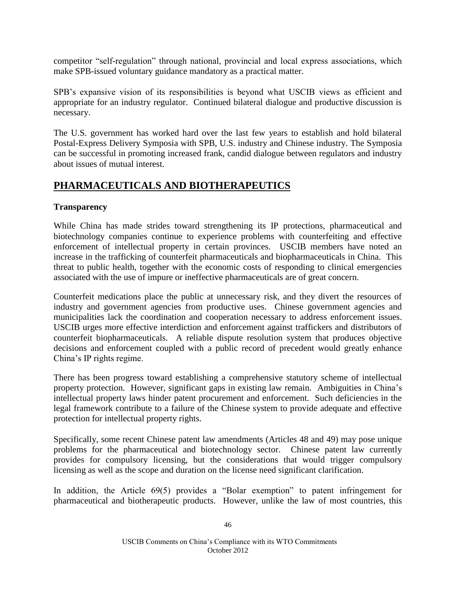competitor "self-regulation" through national, provincial and local express associations, which make SPB-issued voluntary guidance mandatory as a practical matter.

SPB's expansive vision of its responsibilities is beyond what USCIB views as efficient and appropriate for an industry regulator. Continued bilateral dialogue and productive discussion is necessary.

The U.S. government has worked hard over the last few years to establish and hold bilateral Postal-Express Delivery Symposia with SPB, U.S. industry and Chinese industry. The Symposia can be successful in promoting increased frank, candid dialogue between regulators and industry about issues of mutual interest.

### **PHARMACEUTICALS AND BIOTHERAPEUTICS**

### **Transparency**

While China has made strides toward strengthening its IP protections, pharmaceutical and biotechnology companies continue to experience problems with counterfeiting and effective enforcement of intellectual property in certain provinces. USCIB members have noted an increase in the trafficking of counterfeit pharmaceuticals and biopharmaceuticals in China. This threat to public health, together with the economic costs of responding to clinical emergencies associated with the use of impure or ineffective pharmaceuticals are of great concern.

Counterfeit medications place the public at unnecessary risk, and they divert the resources of industry and government agencies from productive uses. Chinese government agencies and municipalities lack the coordination and cooperation necessary to address enforcement issues. USCIB urges more effective interdiction and enforcement against traffickers and distributors of counterfeit biopharmaceuticals. A reliable dispute resolution system that produces objective decisions and enforcement coupled with a public record of precedent would greatly enhance China's IP rights regime.

There has been progress toward establishing a comprehensive statutory scheme of intellectual property protection. However, significant gaps in existing law remain. Ambiguities in China's intellectual property laws hinder patent procurement and enforcement. Such deficiencies in the legal framework contribute to a failure of the Chinese system to provide adequate and effective protection for intellectual property rights.

Specifically, some recent Chinese patent law amendments (Articles 48 and 49) may pose unique problems for the pharmaceutical and biotechnology sector. Chinese patent law currently provides for compulsory licensing, but the considerations that would trigger compulsory licensing as well as the scope and duration on the license need significant clarification.

In addition, the Article 69(5) provides a "Bolar exemption" to patent infringement for pharmaceutical and biotherapeutic products. However, unlike the law of most countries, this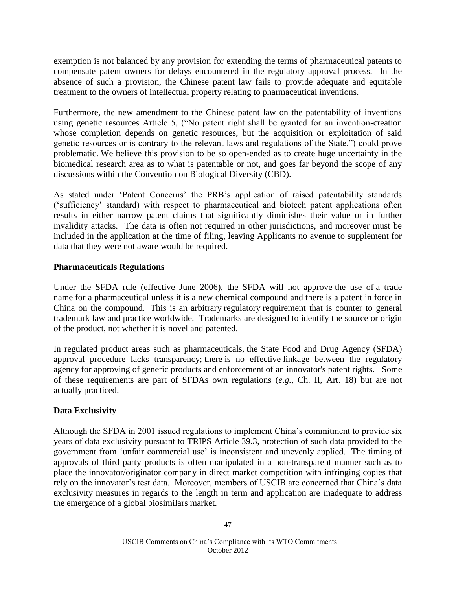exemption is not balanced by any provision for extending the terms of pharmaceutical patents to compensate patent owners for delays encountered in the regulatory approval process. In the absence of such a provision, the Chinese patent law fails to provide adequate and equitable treatment to the owners of intellectual property relating to pharmaceutical inventions.

Furthermore, the new amendment to the Chinese patent law on the patentability of inventions using genetic resources Article 5, ("No patent right shall be granted for an invention-creation whose completion depends on genetic resources, but the acquisition or exploitation of said genetic resources or is contrary to the relevant laws and regulations of the State.") could prove problematic. We believe this provision to be so open-ended as to create huge uncertainty in the biomedical research area as to what is patentable or not, and goes far beyond the scope of any discussions within the Convention on Biological Diversity (CBD).

As stated under 'Patent Concerns' the PRB's application of raised patentability standards ('sufficiency' standard) with respect to pharmaceutical and biotech patent applications often results in either narrow patent claims that significantly diminishes their value or in further invalidity attacks. The data is often not required in other jurisdictions, and moreover must be included in the application at the time of filing, leaving Applicants no avenue to supplement for data that they were not aware would be required.

### **Pharmaceuticals Regulations**

Under the SFDA rule (effective June 2006), the SFDA will not approve the use of a trade name for a pharmaceutical unless it is a new chemical compound and there is a patent in force in China on the compound. This is an arbitrary regulatory requirement that is counter to general trademark law and practice worldwide. Trademarks are designed to identify the source or origin of the product, not whether it is novel and patented.

In regulated product areas such as pharmaceuticals, the State Food and Drug Agency (SFDA) approval procedure lacks transparency; there is no effective linkage between the regulatory agency for approving of generic products and enforcement of an innovator's patent rights. Some of these requirements are part of SFDAs own regulations (*e.g.*, Ch. II, Art. 18) but are not actually practiced.

### **Data Exclusivity**

Although the SFDA in 2001 issued regulations to implement China's commitment to provide six years of data exclusivity pursuant to TRIPS Article 39.3, protection of such data provided to the government from 'unfair commercial use' is inconsistent and unevenly applied. The timing of approvals of third party products is often manipulated in a non-transparent manner such as to place the innovator/originator company in direct market competition with infringing copies that rely on the innovator's test data. Moreover, members of USCIB are concerned that China's data exclusivity measures in regards to the length in term and application are inadequate to address the emergence of a global biosimilars market.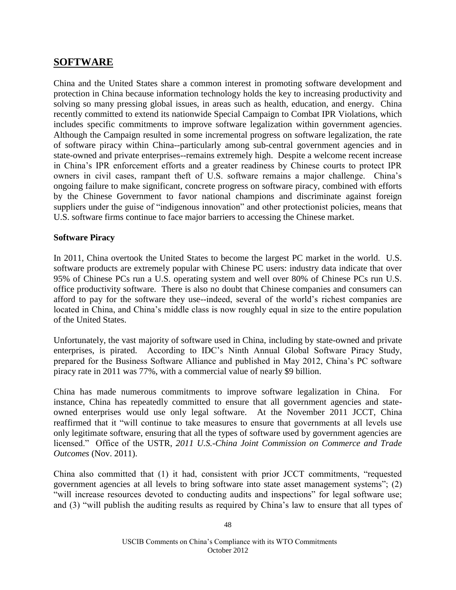### **SOFTWARE**

China and the United States share a common interest in promoting software development and protection in China because information technology holds the key to increasing productivity and solving so many pressing global issues, in areas such as health, education, and energy. China recently committed to extend its nationwide Special Campaign to Combat IPR Violations, which includes specific commitments to improve software legalization within government agencies. Although the Campaign resulted in some incremental progress on software legalization, the rate of software piracy within China--particularly among sub-central government agencies and in state-owned and private enterprises--remains extremely high. Despite a welcome recent increase in China's IPR enforcement efforts and a greater readiness by Chinese courts to protect IPR owners in civil cases, rampant theft of U.S. software remains a major challenge. China's ongoing failure to make significant, concrete progress on software piracy, combined with efforts by the Chinese Government to favor national champions and discriminate against foreign suppliers under the guise of "indigenous innovation" and other protectionist policies, means that U.S. software firms continue to face major barriers to accessing the Chinese market.

### **Software Piracy**

In 2011, China overtook the United States to become the largest PC market in the world. U.S. software products are extremely popular with Chinese PC users: industry data indicate that over 95% of Chinese PCs run a U.S. operating system and well over 80% of Chinese PCs run U.S. office productivity software. There is also no doubt that Chinese companies and consumers can afford to pay for the software they use--indeed, several of the world's richest companies are located in China, and China's middle class is now roughly equal in size to the entire population of the United States.

Unfortunately, the vast majority of software used in China, including by state-owned and private enterprises, is pirated. According to IDC's Ninth Annual Global Software Piracy Study, prepared for the Business Software Alliance and published in May 2012, China's PC software piracy rate in 2011 was 77%, with a commercial value of nearly \$9 billion.

China has made numerous commitments to improve software legalization in China. For instance, China has repeatedly committed to ensure that all government agencies and stateowned enterprises would use only legal software. At the November 2011 JCCT, China reaffirmed that it "will continue to take measures to ensure that governments at all levels use only legitimate software, ensuring that all the types of software used by government agencies are licensed." Office of the USTR, *2011 U.S.-China Joint Commission on Commerce and Trade Outcomes* (Nov. 2011).

China also committed that (1) it had, consistent with prior JCCT commitments, "requested government agencies at all levels to bring software into state asset management systems"; (2) "will increase resources devoted to conducting audits and inspections" for legal software use; and (3) "will publish the auditing results as required by China's law to ensure that all types of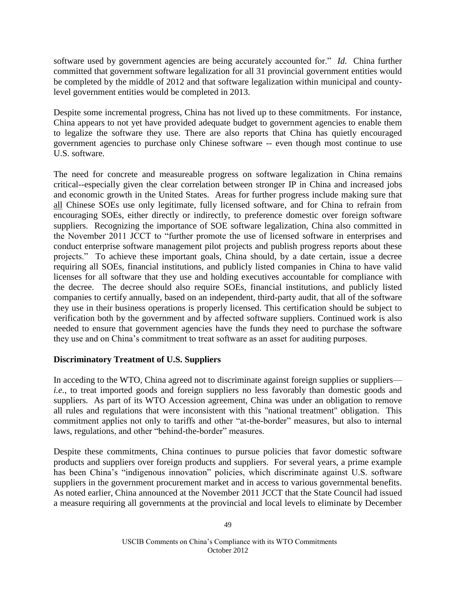software used by government agencies are being accurately accounted for." *Id.* China further committed that government software legalization for all 31 provincial government entities would be completed by the middle of 2012 and that software legalization within municipal and countylevel government entities would be completed in 2013.

Despite some incremental progress, China has not lived up to these commitments. For instance, China appears to not yet have provided adequate budget to government agencies to enable them to legalize the software they use. There are also reports that China has quietly encouraged government agencies to purchase only Chinese software -- even though most continue to use U.S. software.

The need for concrete and measureable progress on software legalization in China remains critical--especially given the clear correlation between stronger IP in China and increased jobs and economic growth in the United States. Areas for further progress include making sure that all Chinese SOEs use only legitimate, fully licensed software, and for China to refrain from encouraging SOEs, either directly or indirectly, to preference domestic over foreign software suppliers. Recognizing the importance of SOE software legalization, China also committed in the November 2011 JCCT to "further promote the use of licensed software in enterprises and conduct enterprise software management pilot projects and publish progress reports about these projects." To achieve these important goals, China should, by a date certain, issue a decree requiring all SOEs, financial institutions, and publicly listed companies in China to have valid licenses for all software that they use and holding executives accountable for compliance with the decree. The decree should also require SOEs, financial institutions, and publicly listed companies to certify annually, based on an independent, third-party audit, that all of the software they use in their business operations is properly licensed. This certification should be subject to verification both by the government and by affected software suppliers. Continued work is also needed to ensure that government agencies have the funds they need to purchase the software they use and on China's commitment to treat software as an asset for auditing purposes.

### **Discriminatory Treatment of U.S. Suppliers**

In acceding to the WTO, China agreed not to discriminate against foreign supplies or suppliers *i.e.*, to treat imported goods and foreign suppliers no less favorably than domestic goods and suppliers. As part of its WTO Accession agreement, China was under an obligation to remove all rules and regulations that were inconsistent with this "national treatment" obligation. This commitment applies not only to tariffs and other "at-the-border" measures, but also to internal laws, regulations, and other "behind-the-border" measures.

Despite these commitments, China continues to pursue policies that favor domestic software products and suppliers over foreign products and suppliers. For several years, a prime example has been China's "indigenous innovation" policies, which discriminate against U.S. software suppliers in the government procurement market and in access to various governmental benefits. As noted earlier, China announced at the November 2011 JCCT that the State Council had issued a measure requiring all governments at the provincial and local levels to eliminate by December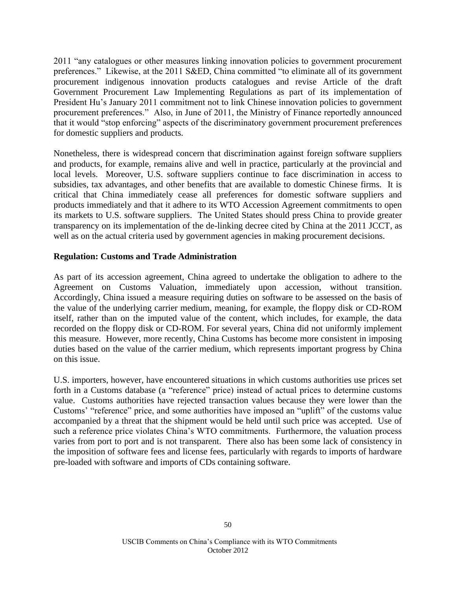2011 "any catalogues or other measures linking innovation policies to government procurement preferences." Likewise, at the 2011 S&ED, China committed "to eliminate all of its government procurement indigenous innovation products catalogues and revise Article of the draft Government Procurement Law Implementing Regulations as part of its implementation of President Hu's January 2011 commitment not to link Chinese innovation policies to government procurement preferences." Also, in June of 2011, the Ministry of Finance reportedly announced that it would "stop enforcing" aspects of the discriminatory government procurement preferences for domestic suppliers and products.

Nonetheless, there is widespread concern that discrimination against foreign software suppliers and products, for example, remains alive and well in practice, particularly at the provincial and local levels. Moreover, U.S. software suppliers continue to face discrimination in access to subsidies, tax advantages, and other benefits that are available to domestic Chinese firms. It is critical that China immediately cease all preferences for domestic software suppliers and products immediately and that it adhere to its WTO Accession Agreement commitments to open its markets to U.S. software suppliers. The United States should press China to provide greater transparency on its implementation of the de-linking decree cited by China at the 2011 JCCT, as well as on the actual criteria used by government agencies in making procurement decisions.

### **Regulation: Customs and Trade Administration**

As part of its accession agreement, China agreed to undertake the obligation to adhere to the Agreement on Customs Valuation, immediately upon accession, without transition. Accordingly, China issued a measure requiring duties on software to be assessed on the basis of the value of the underlying carrier medium, meaning, for example, the floppy disk or CD-ROM itself, rather than on the imputed value of the content, which includes, for example, the data recorded on the floppy disk or CD-ROM. For several years, China did not uniformly implement this measure. However, more recently, China Customs has become more consistent in imposing duties based on the value of the carrier medium, which represents important progress by China on this issue.

U.S. importers, however, have encountered situations in which customs authorities use prices set forth in a Customs database (a "reference" price) instead of actual prices to determine customs value. Customs authorities have rejected transaction values because they were lower than the Customs' "reference" price, and some authorities have imposed an "uplift" of the customs value accompanied by a threat that the shipment would be held until such price was accepted. Use of such a reference price violates China's WTO commitments. Furthermore, the valuation process varies from port to port and is not transparent. There also has been some lack of consistency in the imposition of software fees and license fees, particularly with regards to imports of hardware pre-loaded with software and imports of CDs containing software.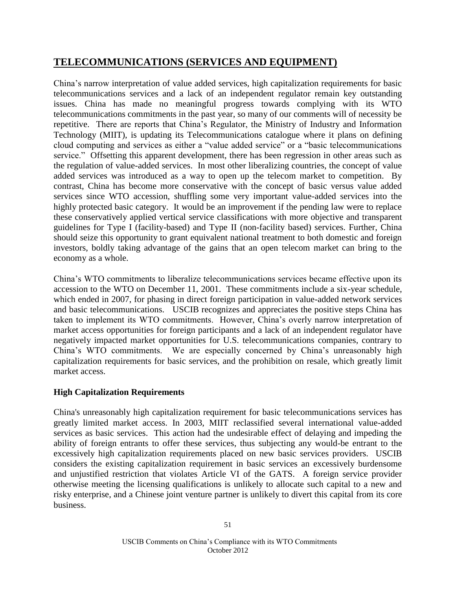# **TELECOMMUNICATIONS (SERVICES AND EQUIPMENT)**

China's narrow interpretation of value added services, high capitalization requirements for basic telecommunications services and a lack of an independent regulator remain key outstanding issues. China has made no meaningful progress towards complying with its WTO telecommunications commitments in the past year, so many of our comments will of necessity be repetitive. There are reports that China's Regulator, the Ministry of Industry and Information Technology (MIIT), is updating its Telecommunications catalogue where it plans on defining cloud computing and services as either a "value added service" or a "basic telecommunications service." Offsetting this apparent development, there has been regression in other areas such as the regulation of value-added services. In most other liberalizing countries, the concept of value added services was introduced as a way to open up the telecom market to competition. By contrast, China has become more conservative with the concept of basic versus value added services since WTO accession, shuffling some very important value-added services into the highly protected basic category. It would be an improvement if the pending law were to replace these conservatively applied vertical service classifications with more objective and transparent guidelines for Type I (facility-based) and Type II (non-facility based) services. Further, China should seize this opportunity to grant equivalent national treatment to both domestic and foreign investors, boldly taking advantage of the gains that an open telecom market can bring to the economy as a whole.

China's WTO commitments to liberalize telecommunications services became effective upon its accession to the WTO on December 11, 2001. These commitments include a six-year schedule, which ended in 2007, for phasing in direct foreign participation in value-added network services and basic telecommunications. USCIB recognizes and appreciates the positive steps China has taken to implement its WTO commitments. However, China's overly narrow interpretation of market access opportunities for foreign participants and a lack of an independent regulator have negatively impacted market opportunities for U.S. telecommunications companies, contrary to China's WTO commitments. We are especially concerned by China's unreasonably high capitalization requirements for basic services, and the prohibition on resale, which greatly limit market access.

### **High Capitalization Requirements**

China's unreasonably high capitalization requirement for basic telecommunications services has greatly limited market access. In 2003, MIIT reclassified several international value-added services as basic services. This action had the undesirable effect of delaying and impeding the ability of foreign entrants to offer these services, thus subjecting any would-be entrant to the excessively high capitalization requirements placed on new basic services providers. USCIB considers the existing capitalization requirement in basic services an excessively burdensome and unjustified restriction that violates Article VI of the GATS. A foreign service provider otherwise meeting the licensing qualifications is unlikely to allocate such capital to a new and risky enterprise, and a Chinese joint venture partner is unlikely to divert this capital from its core business.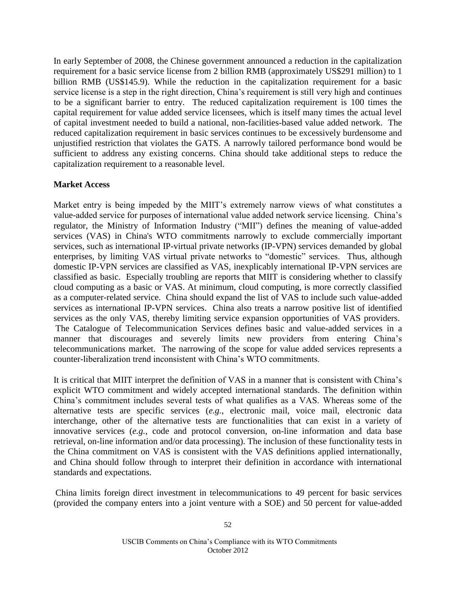In early September of 2008, the Chinese government announced a reduction in the capitalization requirement for a basic service license from 2 billion RMB (approximately US\$291 million) to 1 billion RMB (US\$145.9). While the reduction in the capitalization requirement for a basic service license is a step in the right direction, China's requirement is still very high and continues to be a significant barrier to entry. The reduced capitalization requirement is 100 times the capital requirement for value added service licensees, which is itself many times the actual level of capital investment needed to build a national, non-facilities-based value added network. The reduced capitalization requirement in basic services continues to be excessively burdensome and unjustified restriction that violates the GATS. A narrowly tailored performance bond would be sufficient to address any existing concerns. China should take additional steps to reduce the capitalization requirement to a reasonable level.

### **Market Access**

Market entry is being impeded by the MIIT's extremely narrow views of what constitutes a value-added service for purposes of international value added network service licensing. China's regulator, the Ministry of Information Industry ("MII") defines the meaning of value-added services (VAS) in China's WTO commitments narrowly to exclude commercially important services, such as international IP-virtual private networks (IP-VPN) services demanded by global enterprises, by limiting VAS virtual private networks to "domestic" services. Thus, although domestic IP-VPN services are classified as VAS, inexplicably international IP-VPN services are classified as basic. Especially troubling are reports that MIIT is considering whether to classify cloud computing as a basic or VAS. At minimum, cloud computing, is more correctly classified as a computer-related service. China should expand the list of VAS to include such value-added services as international IP-VPN services. China also treats a narrow positive list of identified services as the only VAS, thereby limiting service expansion opportunities of VAS providers. The Catalogue of Telecommunication Services defines basic and value-added services in a manner that discourages and severely limits new providers from entering China's telecommunications market. The narrowing of the scope for value added services represents a counter-liberalization trend inconsistent with China's WTO commitments.

It is critical that MIIT interpret the definition of VAS in a manner that is consistent with China's explicit WTO commitment and widely accepted international standards. The definition within China's commitment includes several tests of what qualifies as a VAS. Whereas some of the alternative tests are specific services (*e.g.*, electronic mail, voice mail, electronic data interchange, other of the alternative tests are functionalities that can exist in a variety of innovative services (*e.g.*, code and protocol conversion, on-line information and data base retrieval, on-line information and/or data processing). The inclusion of these functionality tests in the China commitment on VAS is consistent with the VAS definitions applied internationally, and China should follow through to interpret their definition in accordance with international standards and expectations.

China limits foreign direct investment in telecommunications to 49 percent for basic services (provided the company enters into a joint venture with a SOE) and 50 percent for value-added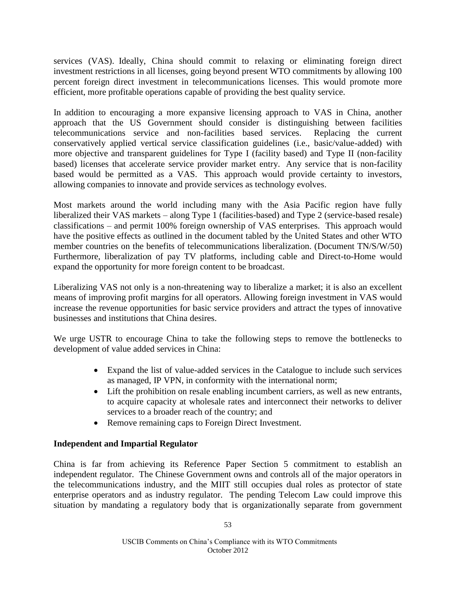services (VAS). Ideally, China should commit to relaxing or eliminating foreign direct investment restrictions in all licenses, going beyond present WTO commitments by allowing 100 percent foreign direct investment in telecommunications licenses. This would promote more efficient, more profitable operations capable of providing the best quality service.

In addition to encouraging a more expansive licensing approach to VAS in China, another approach that the US Government should consider is distinguishing between facilities telecommunications service and non-facilities based services. Replacing the current conservatively applied vertical service classification guidelines (i.e., basic/value-added) with more objective and transparent guidelines for Type I (facility based) and Type II (non-facility based) licenses that accelerate service provider market entry. Any service that is non-facility based would be permitted as a VAS. This approach would provide certainty to investors, allowing companies to innovate and provide services as technology evolves.

Most markets around the world including many with the Asia Pacific region have fully liberalized their VAS markets – along Type 1 (facilities-based) and Type 2 (service-based resale) classifications – and permit 100% foreign ownership of VAS enterprises. This approach would have the positive effects as outlined in the document tabled by the United States and other WTO member countries on the benefits of telecommunications liberalization. (Document TN/S/W/50) Furthermore, liberalization of pay TV platforms, including cable and Direct-to-Home would expand the opportunity for more foreign content to be broadcast.

Liberalizing VAS not only is a non-threatening way to liberalize a market; it is also an excellent means of improving profit margins for all operators. Allowing foreign investment in VAS would increase the revenue opportunities for basic service providers and attract the types of innovative businesses and institutions that China desires.

We urge USTR to encourage China to take the following steps to remove the bottlenecks to development of value added services in China:

- Expand the list of value-added services in the Catalogue to include such services as managed, IP VPN, in conformity with the international norm;
- Lift the prohibition on resale enabling incumbent carriers, as well as new entrants, to acquire capacity at wholesale rates and interconnect their networks to deliver services to a broader reach of the country; and
- Remove remaining caps to Foreign Direct Investment.

### **Independent and Impartial Regulator**

China is far from achieving its Reference Paper Section 5 commitment to establish an independent regulator. The Chinese Government owns and controls all of the major operators in the telecommunications industry, and the MIIT still occupies dual roles as protector of state enterprise operators and as industry regulator. The pending Telecom Law could improve this situation by mandating a regulatory body that is organizationally separate from government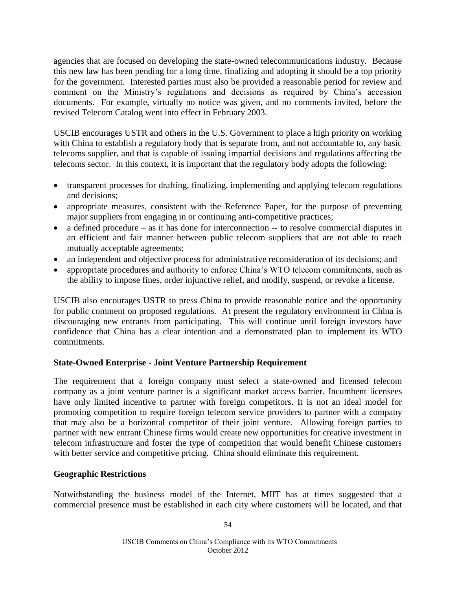agencies that are focused on developing the state-owned telecommunications industry. Because this new law has been pending for a long time, finalizing and adopting it should be a top priority for the government. Interested parties must also be provided a reasonable period for review and comment on the Ministry's regulations and decisions as required by China's accession documents. For example, virtually no notice was given, and no comments invited, before the revised Telecom Catalog went into effect in February 2003.

USCIB encourages USTR and others in the U.S. Government to place a high priority on working with China to establish a regulatory body that is separate from, and not accountable to, any basic telecoms supplier, and that is capable of issuing impartial decisions and regulations affecting the telecoms sector. In this context, it is important that the regulatory body adopts the following:

- transparent processes for drafting, finalizing, implementing and applying telecom regulations and decisions;
- appropriate measures, consistent with the Reference Paper, for the purpose of preventing major suppliers from engaging in or continuing anti-competitive practices;
- a defined procedure as it has done for interconnection -- to resolve commercial disputes in an efficient and fair manner between public telecom suppliers that are not able to reach mutually acceptable agreements;
- an independent and objective process for administrative reconsideration of its decisions; and
- appropriate procedures and authority to enforce China's WTO telecom commitments, such as the ability to impose fines, order injunctive relief, and modify, suspend, or revoke a license.

USCIB also encourages USTR to press China to provide reasonable notice and the opportunity for public comment on proposed regulations. At present the regulatory environment in China is discouraging new entrants from participating. This will continue until foreign investors have confidence that China has a clear intention and a demonstrated plan to implement its WTO commitments.

### **State-Owned Enterprise - Joint Venture Partnership Requirement**

The requirement that a foreign company must select a state-owned and licensed telecom company as a joint venture partner is a significant market access barrier. Incumbent licensees have only limited incentive to partner with foreign competitors. It is not an ideal model for promoting competition to require foreign telecom service providers to partner with a company that may also be a horizontal competitor of their joint venture. Allowing foreign parties to partner with new entrant Chinese firms would create new opportunities for creative investment in telecom infrastructure and foster the type of competition that would benefit Chinese customers with better service and competitive pricing. China should eliminate this requirement.

### **Geographic Restrictions**

Notwithstanding the business model of the Internet, MIIT has at times suggested that a commercial presence must be established in each city where customers will be located, and that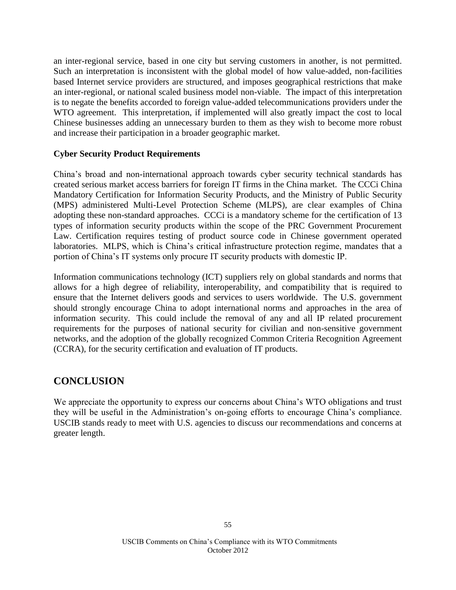an inter-regional service, based in one city but serving customers in another, is not permitted. Such an interpretation is inconsistent with the global model of how value-added, non-facilities based Internet service providers are structured, and imposes geographical restrictions that make an inter-regional, or national scaled business model non-viable. The impact of this interpretation is to negate the benefits accorded to foreign value-added telecommunications providers under the WTO agreement. This interpretation, if implemented will also greatly impact the cost to local Chinese businesses adding an unnecessary burden to them as they wish to become more robust and increase their participation in a broader geographic market.

### **Cyber Security Product Requirements**

China's broad and non-international approach towards cyber security technical standards has created serious market access barriers for foreign IT firms in the China market. The CCCi China Mandatory Certification for Information Security Products, and the Ministry of Public Security (MPS) administered Multi-Level Protection Scheme (MLPS), are clear examples of China adopting these non-standard approaches. CCCi is a mandatory scheme for the certification of 13 types of information security products within the scope of the PRC Government Procurement Law. Certification requires testing of product source code in Chinese government operated laboratories. MLPS, which is China's critical infrastructure protection regime, mandates that a portion of China's IT systems only procure IT security products with domestic IP.

Information communications technology (ICT) suppliers rely on global standards and norms that allows for a high degree of reliability, interoperability, and compatibility that is required to ensure that the Internet delivers goods and services to users worldwide. The U.S. government should strongly encourage China to adopt international norms and approaches in the area of information security. This could include the removal of any and all IP related procurement requirements for the purposes of national security for civilian and non-sensitive government networks, and the adoption of the globally recognized Common Criteria Recognition Agreement (CCRA), for the security certification and evaluation of IT products.

# **CONCLUSION**

We appreciate the opportunity to express our concerns about China's WTO obligations and trust they will be useful in the Administration's on-going efforts to encourage China's compliance. USCIB stands ready to meet with U.S. agencies to discuss our recommendations and concerns at greater length.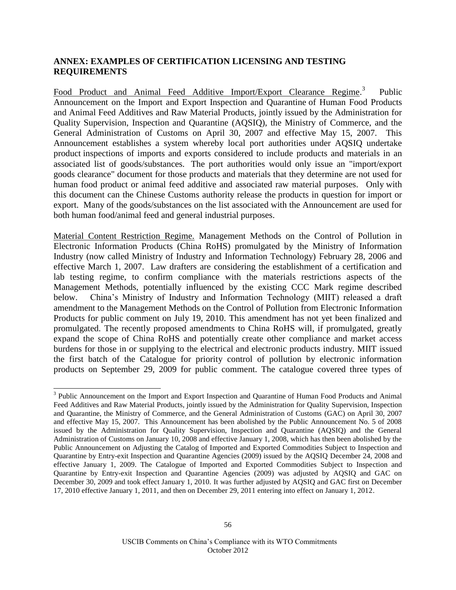### **ANNEX: EXAMPLES OF CERTIFICATION LICENSING AND TESTING REQUIREMENTS**

Food Product and Animal Feed Additive Import/Export Clearance Regime.<sup>3</sup> Public Announcement on the Import and Export Inspection and Quarantine of Human Food Products and Animal Feed Additives and Raw Material Products, jointly issued by the Administration for Quality Supervision, Inspection and Quarantine (AQSIQ), the Ministry of Commerce, and the General Administration of Customs on April 30, 2007 and effective May 15, 2007. This Announcement establishes a system whereby local port authorities under AQSIQ undertake product inspections of imports and exports considered to include products and materials in an associated list of goods/substances. The port authorities would only issue an "import/export goods clearance" document for those products and materials that they determine are not used for human food product or animal feed additive and associated raw material purposes. Only with this document can the Chinese Customs authority release the products in question for import or export. Many of the goods/substances on the list associated with the Announcement are used for both human food/animal feed and general industrial purposes.

Material Content Restriction Regime. Management Methods on the Control of Pollution in Electronic Information Products (China RoHS) promulgated by the Ministry of Information Industry (now called Ministry of Industry and Information Technology) February 28, 2006 and effective March 1, 2007. Law drafters are considering the establishment of a certification and lab testing regime, to confirm compliance with the materials restrictions aspects of the Management Methods, potentially influenced by the existing CCC Mark regime described below. China's Ministry of Industry and Information Technology (MIIT) released a draft amendment to the Management Methods on the Control of Pollution from Electronic Information Products for public comment on July 19, 2010. This amendment has not yet been finalized and promulgated. The recently proposed amendments to China RoHS will, if promulgated, greatly expand the scope of China RoHS and potentially create other compliance and market access burdens for those in or supplying to the electrical and electronic products industry. MIIT issued the first batch of the Catalogue for priority control of pollution by electronic information products on September 29, 2009 for public comment. The catalogue covered three types of

<sup>&</sup>lt;sup>3</sup> Public Announcement on the Import and Export Inspection and Quarantine of Human Food Products and Animal Feed Additives and Raw Material Products, jointly issued by the Administration for Quality Supervision, Inspection and Quarantine, the Ministry of Commerce, and the General Administration of Customs (GAC) on April 30, 2007 and effective May 15, 2007. This Announcement has been abolished by the Public Announcement No. 5 of 2008 issued by the Administration for Quality Supervision, Inspection and Quarantine (AQSIQ) and the General Administration of Customs on January 10, 2008 and effective January 1, 2008, which has then been abolished by the Public Announcement on Adjusting the Catalog of Imported and Exported Commodities Subject to Inspection and Quarantine by Entry-exit Inspection and Quarantine Agencies (2009) issued by the AQSIQ December 24, 2008 and effective January 1, 2009. The Catalogue of Imported and Exported Commodities Subject to Inspection and Quarantine by Entry-exit Inspection and Quarantine Agencies (2009) was adjusted by AQSIQ and GAC on December 30, 2009 and took effect January 1, 2010. It was further adjusted by AQSIQ and GAC first on December 17, 2010 effective January 1, 2011, and then on December 29, 2011 entering into effect on January 1, 2012.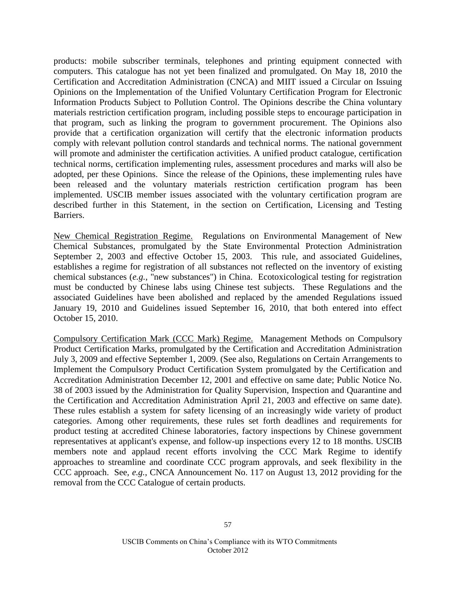products: mobile subscriber terminals, telephones and printing equipment connected with computers. This catalogue has not yet been finalized and promulgated. On May 18, 2010 the Certification and Accreditation Administration (CNCA) and MIIT issued a Circular on Issuing Opinions on the Implementation of the Unified Voluntary Certification Program for Electronic Information Products Subject to Pollution Control. The Opinions describe the China voluntary materials restriction certification program, including possible steps to encourage participation in that program, such as linking the program to government procurement. The Opinions also provide that a certification organization will certify that the electronic information products comply with relevant pollution control standards and technical norms. The national government will promote and administer the certification activities. A unified product catalogue, certification technical norms, certification implementing rules, assessment procedures and marks will also be adopted, per these Opinions. Since the release of the Opinions, these implementing rules have been released and the voluntary materials restriction certification program has been implemented. USCIB member issues associated with the voluntary certification program are described further in this Statement, in the section on Certification, Licensing and Testing Barriers.

New Chemical Registration Regime. Regulations on Environmental Management of New Chemical Substances, promulgated by the State Environmental Protection Administration September 2, 2003 and effective October 15, 2003. This rule, and associated Guidelines, establishes a regime for registration of all substances not reflected on the inventory of existing chemical substances (*e.g.*, "new substances") in China. Ecotoxicological testing for registration must be conducted by Chinese labs using Chinese test subjects. These Regulations and the associated Guidelines have been abolished and replaced by the amended Regulations issued January 19, 2010 and Guidelines issued September 16, 2010, that both entered into effect October 15, 2010.

Compulsory Certification Mark (CCC Mark) Regime. Management Methods on Compulsory Product Certification Marks, promulgated by the Certification and Accreditation Administration July 3, 2009 and effective September 1, 2009. (See also, Regulations on Certain Arrangements to Implement the Compulsory Product Certification System promulgated by the Certification and Accreditation Administration December 12, 2001 and effective on same date; Public Notice No. 38 of 2003 issued by the Administration for Quality Supervision, Inspection and Quarantine and the Certification and Accreditation Administration April 21, 2003 and effective on same date). These rules establish a system for safety licensing of an increasingly wide variety of product categories. Among other requirements, these rules set forth deadlines and requirements for product testing at accredited Chinese laboratories, factory inspections by Chinese government representatives at applicant's expense, and follow-up inspections every 12 to 18 months. USCIB members note and applaud recent efforts involving the CCC Mark Regime to identify approaches to streamline and coordinate CCC program approvals, and seek flexibility in the CCC approach. See, *e.g.*, CNCA Announcement No. 117 on August 13, 2012 providing for the removal from the CCC Catalogue of certain products.